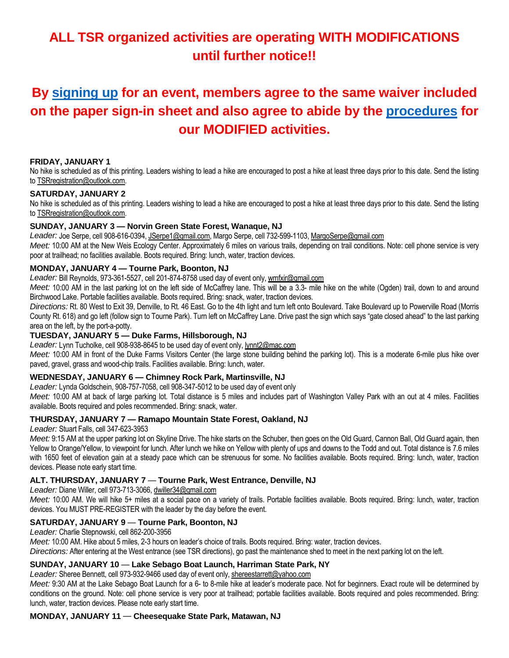# **ALL TSR organized activities are operating WITH MODIFICATIONS until further notice!!**

# **By [signing up](https://www.tristateramblers.org/covid-schedules-directions) for an event, members agree to the same waiver included on the paper sign-in sheet and also agree to abide by the [procedures](https://5a563b5d-c9a2-443f-a97b-1fb65c38494e.usrfiles.com/ugd/5a563b_c4edec927985401797627aaf6c0458c8.pdf) for our MODIFIED activities.**

#### **FRIDAY, JANUARY 1**

No hike is scheduled as of this printing. Leaders wishing to lead a hike are encouraged to post a hike at least three days prior to this date. Send the listing to TSRregistration@outlook.com.

#### **SATURDAY, JANUARY 2**

No hike is scheduled as of this printing. Leaders wishing to lead a hike are encouraged to post a hike at least three days prior to this date. Send the listing to TSRregistration@outlook.com.

#### **SUNDAY, JANUARY 3 — Norvin Green State Forest, Wanaque, NJ**

*Leader:* Joe Serpe, cell 908-616-0394, JSerpe1@gmail.com, Margo Serpe, cell 732-599-1103, MargoSerpe@gmail.com

*Meet:* 10:00 AM at the New Weis Ecology Center. Approximately 6 miles on various trails, depending on trail conditions. Note: cell phone service is very poor at trailhead; no facilities available. Boots required. Bring: lunch, water, traction devices.

#### **MONDAY, JANUARY 4 — Tourne Park, Boonton, NJ**

*Leader:* Bill Reynolds, 973-361-5527, cell 201-874-8758 used day of event only, wmfxir@gmail.com

*Meet:* 10:00 AM in the last parking lot on the left side of McCaffrey lane. This will be a 3.3- mile hike on the white (Ogden) trail, down to and around Birchwood Lake. Portable facilities available. Boots required. Bring: snack, water, traction devices.

*Directions:* Rt. 80 West to Exit 39, Denville, to Rt. 46 East. Go to the 4th light and turn left onto Boulevard. Take Boulevard up to Powerville Road (Morris County Rt. 618) and go left (follow sign to Tourne Park). Turn left on McCaffrey Lane. Drive past the sign which says "gate closed ahead" to the last parking area on the left, by the port-a-potty.

## **TUESDAY, JANUARY 5** *—* **Duke Farms, Hillsborough, NJ**

*Leader:* Lynn Tucholke, cell 908-938-8645 to be used day of event only, lynnt2@mac.com

*Meet:* 10:00 AM in front of the Duke Farms Visitors Center (the large stone building behind the parking lot). This is a moderate 6-mile plus hike over paved, gravel, grass and wood-chip trails. Facilities available. Bring: lunch, water.

#### **WEDNESDAY, JANUARY 6 — Chimney Rock Park, Martinsville, NJ**

*Leader:* Lynda Goldschein, 908-757-7058, cell 908-347-5012 to be used day of event only

*Meet:* 10:00 AM at back of large parking lot. Total distance is 5 miles and includes part of Washington Valley Park with an out at 4 miles. Facilities available. Boots required and poles recommended. Bring: snack, water.

#### **THURSDAY, JANUARY 7 — Ramapo Mountain State Forest, Oakland, NJ**

*Leader:* Stuart Falls, cell 347-623-3953

*Meet:* 9:15 AM at the upper parking lot on Skyline Drive. The hike starts on the Schuber, then goes on the Old Guard, Cannon Ball, Old Guard again, then Yellow to Orange/Yellow, to viewpoint for lunch. After lunch we hike on Yellow with plenty of ups and downs to the Todd and out. Total distance is 7.6 miles with 1650 feet of elevation gain at a steady pace which can be strenuous for some. No facilities available. Boots required. Bring: lunch, water, traction devices. Please note early start time.

## **ALT. THURSDAY, JANUARY 7** *—* **Tourne Park, West Entrance, Denville, NJ**

*Leader:* Diane Willer, cell 973-713-3066, dwiller34@gmail.com

*Meet:* 10:00 AM. We will hike 5+ miles at a social pace on a variety of trails. Portable facilities available. Boots required. Bring: lunch, water, traction devices. You MUST PRE-REGISTER with the leader by the day before the event.

## **SATURDAY, JANUARY 9** *—* **Tourne Park, Boonton, NJ**

*Leader:* Charlie Stepnowski, cell 862-200-3956

*Meet:* 10:00 AM. Hike about 5 miles, 2-3 hours on leader's choice of trails. Boots required. Bring: water, traction devices.

*Directions:* After entering at the West entrance (see TSR directions), go past the maintenance shed to meet in the next parking lot on the left.

## **SUNDAY, JANUARY 10** *—* **Lake Sebago Boat Launch, Harriman State Park, NY**

Leader: Sheree Bennett, cell 973-932-9466 used day of event only, shereestarrett@yahoo.com

*Meet:* 9:30 AM at the Lake Sebago Boat Launch for a 6- to 8-mile hike at leader's moderate pace. Not for beginners. Exact route will be determined by conditions on the ground. Note: cell phone service is very poor at trailhead; portable facilities available. Boots required and poles recommended. Bring: lunch, water, traction devices. Please note early start time.

#### **MONDAY, JANUARY 11** *—* **Cheesequake State Park, Matawan, NJ**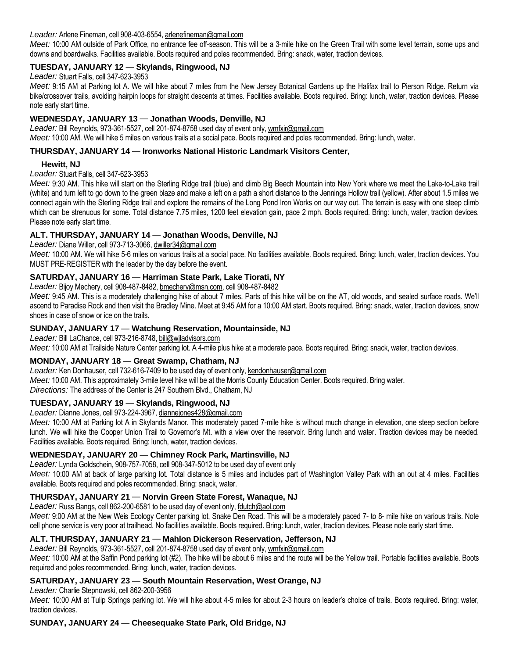#### *Leader:* Arlene Fineman, cell 908-403-6554, arlenefineman@gmail.com

*Meet:* 10:00 AM outside of Park Office, no entrance fee off-season. This will be a 3-mile hike on the Green Trail with some level terrain, some ups and downs and boardwalks. Facilities available. Boots required and poles recommended. Bring: snack, water, traction devices.

#### **TUESDAY, JANUARY 12** *—* **Skylands, Ringwood, NJ**

*Leader:* Stuart Falls, cell 347-623-3953

*Meet:* 9:15 AM at Parking lot A. We will hike about 7 miles from the New Jersey Botanical Gardens up the Halifax trail to Pierson Ridge. Return via bike/crossover trails, avoiding hairpin loops for straight descents at times. Facilities available. Boots required. Bring: lunch, water, traction devices. Please note early start time.

#### **WEDNESDAY, JANUARY 13** *—* **Jonathan Woods, Denville, NJ**

*Leader:* Bill Reynolds, 973-361-5527, cell 201-874-8758 used day of event only, wmfxir@gmail.com *Meet:* 10:00 AM. We will hike 5 miles on various trails at a social pace. Boots required and poles recommended. Bring: lunch, water.

#### **THURSDAY, JANUARY 14** *—* **Ironworks National Historic Landmark Visitors Center,**

#### **Hewitt, NJ**

*Leader:* Stuart Falls, cell 347-623-3953

*Meet:* 9:30 AM. This hike will start on the Sterling Ridge trail (blue) and climb Big Beech Mountain into New York where we meet the Lake-to-Lake trail (white) and turn left to go down to the green blaze and make a left on a path a short distance to the Jennings Hollow trail (yellow). After about 1.5 miles we connect again with the Sterling Ridge trail and explore the remains of the Long Pond Iron Works on our way out. The terrain is easy with one steep climb which can be strenuous for some. Total distance 7.75 miles, 1200 feet elevation gain, pace 2 mph. Boots required. Bring: lunch, water, traction devices. Please note early start time.

#### **ALT. THURSDAY, JANUARY 14** *—* **Jonathan Woods, Denville, NJ**

*Leader:* Diane Willer, cell 973-713-3066, dwiller34@gmail.com

*Meet:* 10:00 AM. We will hike 5-6 miles on various trails at a social pace. No facilities available. Boots required. Bring: lunch, water, traction devices. You MUST PRE-REGISTER with the leader by the day before the event.

#### **SATURDAY, JANUARY 16** *—* **Harriman State Park, Lake Tiorati, NY**

*Leader:* Bijoy Mechery, cell 908-487-8482, bmechery@msn.com, cell 908-487-8482

*Meet:* 9:45 AM. This is a moderately challenging hike of about 7 miles. Parts of this hike will be on the AT, old woods, and sealed surface roads. We'll ascend to Paradise Rock and then visit the Bradley Mine. Meet at 9:45 AM for a 10:00 AM start. Boots required. Bring: snack, water, traction devices, snow shoes in case of snow or ice on the trails.

#### **SUNDAY, JANUARY 17** *—* **Watchung Reservation, Mountainside, NJ**

*Leader:* Bill LaChance, cell 973-216-8748, bill@wjladvisors.com

*Meet:* 10:00 AM at Trailside Nature Center parking lot. A 4-mile plus hike at a moderate pace. Boots required. Bring: snack, water, traction devices.

#### **MONDAY, JANUARY 18** *—* **Great Swamp, Chatham, NJ**

Leader: Ken Donhauser, cell 732-616-7409 to be used day of event only, kendonhauser@gmail.com *Meet:* 10:00 AM. This approximately 3-mile level hike will be at the Morris County Education Center. Boots required. Bring water. *Directions:* The address of the Center is 247 Southern Blvd., Chatham, NJ

#### **TUESDAY, JANUARY 19** *—* **Skylands, Ringwood, NJ**

*Leader:* Dianne Jones, cell 973-224-3967, diannejones428@gmail.com

*Meet:* 10:00 AM at Parking lot A in Skylands Manor. This moderately paced 7-mile hike is without much change in elevation, one steep section before lunch. We will hike the Cooper Union Trail to Governor's Mt. with a view over the reservoir. Bring lunch and water. Traction devices may be needed. Facilities available. Boots required. Bring: lunch, water, traction devices.

## **WEDNESDAY, JANUARY 20** *—* **Chimney Rock Park, Martinsville, NJ**

*Leader:* Lynda Goldschein, 908-757-7058, cell 908-347-5012 to be used day of event only

*Meet:* 10:00 AM at back of large parking lot. Total distance is 5 miles and includes part of Washington Valley Park with an out at 4 miles. Facilities available. Boots required and poles recommended. Bring: snack, water.

#### **THURSDAY, JANUARY 21** *—* **Norvin Green State Forest, Wanaque, NJ**

*Leader:* Russ Bangs, cell 862-200-6581 to be used day of event only, fdutch@aol.com

Meet: 9:00 AM at the New Weis Ecology Center parking lot, Snake Den Road. This will be a moderately paced 7- to 8- mile hike on various trails. Note cell phone service is very poor at trailhead. No facilities available. Boots required. Bring: lunch, water, traction devices. Please note early start time.

#### **ALT. THURSDAY, JANUARY 21** *—* **Mahlon Dickerson Reservation, Jefferson, NJ**

*Leader:* Bill Reynolds, 973-361-5527, cell 201-874-8758 used day of event only, wmfxir@gmail.com

*Meet:* 10:00 AM at the Saffin Pond parking lot (#2). The hike will be about 6 miles and the route will be the Yellow trail. Portable facilities available. Boots required and poles recommended. Bring: lunch, water, traction devices.

#### **SATURDAY, JANUARY 23** *—* **South Mountain Reservation, West Orange, NJ**

*Leader:* Charlie Stepnowski, cell 862-200-3956

*Meet:* 10:00 AM at Tulip Springs parking lot. We will hike about 4-5 miles for about 2-3 hours on leader's choice of trails. Boots required. Bring: water, traction devices.

#### **SUNDAY, JANUARY 24** *—* **Cheesequake State Park, Old Bridge, NJ**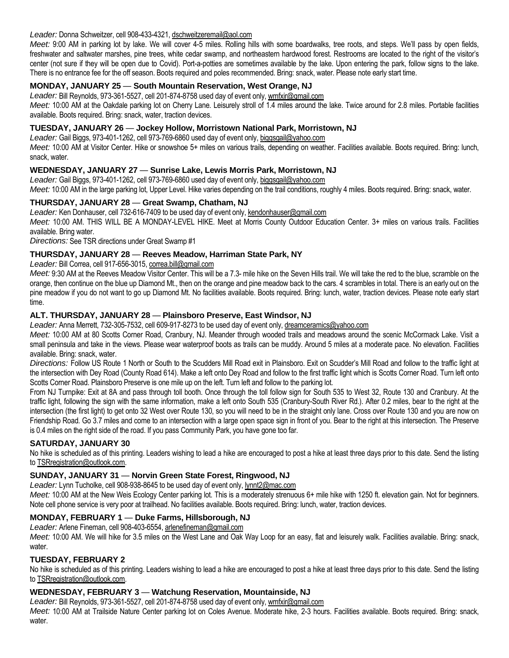## *Leader:* Donna Schweitzer, cell 908-433-4321, dschweitzeremail@aol.com

*Meet:* 9:00 AM in parking lot by lake. We will cover 4-5 miles. Rolling hills with some boardwalks, tree roots, and steps. We'll pass by open fields, freshwater and saltwater marshes, pine trees, white cedar swamp, and northeastern hardwood forest. Restrooms are located to the right of the visitor's center (not sure if they will be open due to Covid). Port-a-potties are sometimes available by the lake. Upon entering the park, follow signs to the lake. There is no entrance fee for the off season. Boots required and poles recommended. Bring: snack, water. Please note early start time.

## **MONDAY, JANUARY 25** *—* **South Mountain Reservation, West Orange, NJ**

*Leader:* Bill Reynolds, 973-361-5527, cell 201-874-8758 used day of event only, wmfxir@gmail.com

*Meet:* 10:00 AM at the Oakdale parking lot on Cherry Lane. Leisurely stroll of 1.4 miles around the lake. Twice around for 2.8 miles. Portable facilities available. Boots required. Bring: snack, water, traction devices.

## **TUESDAY, JANUARY 26** *—* **Jockey Hollow, Morristown National Park, Morristown, NJ**

*Leader:* Gail Biggs, 973-401-1262, cell 973-769-6860 used day of event only, biggsgail@yahoo.com

*Meet:* 10:00 AM at Visitor Center. Hike or snowshoe 5+ miles on various trails, depending on weather. Facilities available. Boots required. Bring: lunch, snack, water.

## **WEDNESDAY, JANUARY 27** *—* **Sunrise Lake, Lewis Morris Park, Morristown, NJ**

*Leader:* Gail Biggs, 973-401-1262, cell 973-769-6860 used day of event only, biggsgail@yahoo.com

*Meet:* 10:00 AM in the large parking lot, Upper Level. Hike varies depending on the trail conditions, roughly 4 miles. Boots required. Bring: snack, water.

## **THURSDAY, JANUARY 28** *—* **Great Swamp, Chatham, NJ**

*Leader:* Ken Donhauser, cell 732-616-7409 to be used day of event only, kendonhauser@gmail.com

*Meet:* 10:00 AM. THIS WILL BE A MONDAY-LEVEL HIKE. Meet at Morris County Outdoor Education Center. 3+ miles on various trails. Facilities available. Bring water.

*Directions:* See TSR directions under Great Swamp #1

## **THURSDAY, JANUARY 28** *—* **Reeves Meadow, Harriman State Park, NY**

*Leader:* Bill Correa, cell 917-656-3015, correa.bill@gmail.com

*Meet:* 9:30 AM at the Reeves Meadow Visitor Center. This will be a 7.3- mile hike on the Seven Hills trail. We will take the red to the blue, scramble on the orange, then continue on the blue up Diamond Mt., then on the orange and pine meadow back to the cars. 4 scrambles in total. There is an early out on the pine meadow if you do not want to go up Diamond Mt. No facilities available. Boots required. Bring: lunch, water, traction devices. Please note early start time.

## **ALT. THURSDAY, JANUARY 28** *—* **Plainsboro Preserve, East Windsor, NJ**

*Leader:* Anna Merrett, 732-305-7532, cell 609-917-8273 to be used day of event only, dreamceramics@yahoo.com

Meet: 10:00 AM at 80 Scotts Corner Road, Cranbury, NJ. Meander through wooded trails and meadows around the scenic McCormack Lake. Visit a small peninsula and take in the views. Please wear waterproof boots as trails can be muddy. Around 5 miles at a moderate pace. No elevation. Facilities available. Bring: snack, water.

*Directions:* Follow US Route 1 North or South to the Scudders Mill Road exit in Plainsboro. Exit on Scudder's Mill Road and follow to the traffic light at the intersection with Dey Road (County Road 614). Make a left onto Dey Road and follow to the first traffic light which is Scotts Corner Road. Turn left onto Scotts Corner Road. Plainsboro Preserve is one mile up on the left. Turn left and follow to the parking lot.

From NJ Turnpike: Exit at 8A and pass through toll booth. Once through the toll follow sign for South 535 to West 32, Route 130 and Cranbury. At the traffic light, following the sign with the same information, make a left onto South 535 (Cranbury-South River Rd.). After 0.2 miles, bear to the right at the intersection (the first light) to get onto 32 West over Route 130, so you will need to be in the straight only lane. Cross over Route 130 and you are now on Friendship Road. Go 3.7 miles and come to an intersection with a large open space sign in front of you. Bear to the right at this intersection. The Preserve is 0.4 miles on the right side of the road. If you pass Community Park, you have gone too far.

## **SATURDAY, JANUARY 30**

No hike is scheduled as of this printing. Leaders wishing to lead a hike are encouraged to post a hike at least three days prior to this date. Send the listing to TSRregistration@outlook.com.

## **SUNDAY, JANUARY 31** *—* **Norvin Green State Forest, Ringwood, NJ**

*Leader:* Lynn Tucholke, cell 908-938-8645 to be used day of event only, lynnt2@mac.com

Meet: 10:00 AM at the New Weis Ecology Center parking lot. This is a moderately strenuous 6+ mile hike with 1250 ft. elevation gain. Not for beginners. Note cell phone service is very poor at trailhead. No facilities available. Boots required. Bring: lunch, water, traction devices.

## **MONDAY, FEBRUARY 1** *—* **Duke Farms, Hillsborough, NJ**

*Leader:* Arlene Fineman, cell 908-403-6554, arlenefineman@gmail.com

*Meet:* 10:00 AM. We will hike for 3.5 miles on the West Lane and Oak Way Loop for an easy, flat and leisurely walk. Facilities available. Bring: snack, water.

## **TUESDAY, FEBRUARY 2**

No hike is scheduled as of this printing. Leaders wishing to lead a hike are encouraged to post a hike at least three days prior to this date. Send the listing to TSRregistration@outlook.com.

## **WEDNESDAY, FEBRUARY 3** *—* **Watchung Reservation, Mountainside, NJ**

*Leader:* Bill Reynolds, 973-361-5527, cell 201-874-8758 used day of event only, wmfxir@gmail.com

*Meet:* 10:00 AM at Trailside Nature Center parking lot on Coles Avenue. Moderate hike, 2-3 hours. Facilities available. Boots required. Bring: snack, water.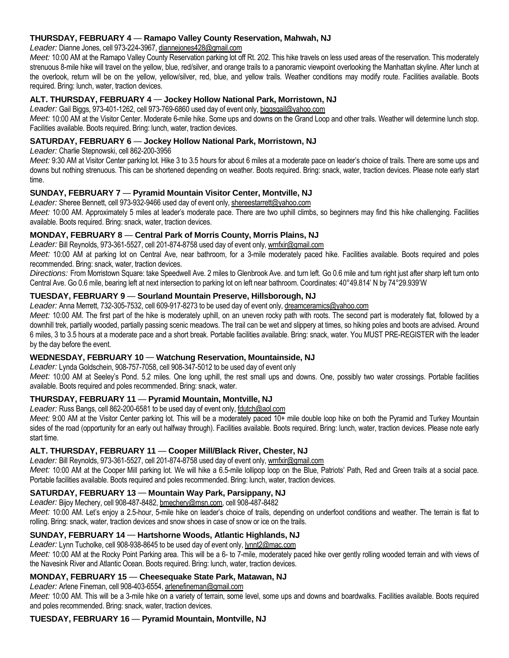## **THURSDAY, FEBRUARY 4** *—* **Ramapo Valley County Reservation, Mahwah, NJ**

*Leader:* Dianne Jones, cell 973-224-3967, diannejones428@gmail.com

*Meet:* 10:00 AM at the Ramapo Valley County Reservation parking lot off Rt. 202. This hike travels on less used areas of the reservation. This moderately strenuous 8-mile hike will travel on the yellow, blue, red/silver, and orange trails to a panoramic viewpoint overlooking the Manhattan skyline. After lunch at the overlook, return will be on the yellow, yellow/silver, red, blue, and yellow trails. Weather conditions may modify route. Facilities available. Boots required. Bring: lunch, water, traction devices.

## **ALT. THURSDAY, FEBRUARY 4** *—* **Jockey Hollow National Park, Morristown, NJ**

*Leader:* Gail Biggs, 973-401-1262, cell 973-769-6860 used day of event only, biggsgail@yahoo.com

*Meet:* 10:00 AM at the Visitor Center. Moderate 6-mile hike. Some ups and downs on the Grand Loop and other trails. Weather will determine lunch stop. Facilities available. Boots required. Bring: lunch, water, traction devices.

## **SATURDAY, FEBRUARY 6** *—* **Jockey Hollow National Park, Morristown, NJ**

*Leader:* Charlie Stepnowski, cell 862-200-3956

Meet: 9:30 AM at Visitor Center parking lot. Hike 3 to 3.5 hours for about 6 miles at a moderate pace on leader's choice of trails. There are some ups and downs but nothing strenuous. This can be shortened depending on weather. Boots required. Bring: snack, water, traction devices. Please note early start time.

## **SUNDAY, FEBRUARY 7** *—* **Pyramid Mountain Visitor Center, Montville, NJ**

Leader: Sheree Bennett, cell 973-932-9466 used day of event only, shereestarrett@yahoo.com

*Meet:* 10:00 AM. Approximately 5 miles at leader's moderate pace. There are two uphill climbs, so beginners may find this hike challenging. Facilities available. Boots required. Bring: snack, water, traction devices.

## **MONDAY, FEBRUARY 8** *—* **Central Park of Morris County, Morris Plains, NJ**

*Leader:* Bill Reynolds, 973-361-5527, cell 201-874-8758 used day of event only, wmfxir@gmail.com

*Meet:* 10:00 AM at parking lot on Central Ave, near bathroom, for a 3-mile moderately paced hike. Facilities available. Boots required and poles recommended. Bring: snack, water, traction devices.

*Directions:* From Morristown Square: take Speedwell Ave. 2 miles to Glenbrook Ave. and turn left. Go 0.6 mile and turn right just after sharp left turn onto Central Ave. Go 0.6 mile, bearing left at next intersection to parking lot on left near bathroom. Coordinates: 40°49.814' N by 74°29.939'W

## **TUESDAY, FEBRUARY 9** *—* **Sourland Mountain Preserve, Hillsborough, NJ**

Leader: Anna Merrett, 732-305-7532, cell 609-917-8273 to be used day of event only, dreamceramics@yahoo.com

Meet: 10:00 AM. The first part of the hike is moderately uphill, on an uneven rocky path with roots. The second part is moderately flat, followed by a downhill trek, partially wooded, partially passing scenic meadows. The trail can be wet and slippery at times, so hiking poles and boots are advised. Around 6 miles, 3 to 3.5 hours at a moderate pace and a short break. Portable facilities available. Bring: snack, water. You MUST PRE-REGISTER with the leader by the day before the event.

## **WEDNESDAY, FEBRUARY 10** *—* **Watchung Reservation, Mountainside, NJ**

*Leader:* Lynda Goldschein, 908-757-7058, cell 908-347-5012 to be used day of event only

*Meet:* 10:00 AM at Seeley's Pond. 5.2 miles. One long uphill, the rest small ups and downs. One, possibly two water crossings. Portable facilities available. Boots required and poles recommended. Bring: snack, water.

## **THURSDAY, FEBRUARY 11** *—* **Pyramid Mountain, Montville, NJ**

*Leader:* Russ Bangs, cell 862-200-6581 to be used day of event only, fdutch@aol.com

*Meet:* 9:00 AM at the Visitor Center parking lot. This will be a moderately paced 10+ mile double loop hike on both the Pyramid and Turkey Mountain sides of the road (opportunity for an early out halfway through). Facilities available. Boots required. Bring: lunch, water, traction devices. Please note early start time.

## **ALT. THURSDAY, FEBRUARY 11** *—* **Cooper Mill/Black River, Chester, NJ**

*Leader:* Bill Reynolds, 973-361-5527, cell 201-874-8758 used day of event only, wmfxir@gmail.com

*Meet:* 10:00 AM at the Cooper Mill parking lot. We will hike a 6.5-mile lollipop loop on the Blue, Patriots' Path, Red and Green trails at a social pace. Portable facilities available. Boots required and poles recommended. Bring: lunch, water, traction devices.

## **SATURDAY, FEBRUARY 13** *—* **Mountain Way Park, Parsippany, NJ**

*Leader:* Bijoy Mechery, cell 908-487-8482, bmechery@msn.com, cell 908-487-8482 *Meet:* 10:00 AM. Let's enjoy a 2.5-hour, 5-mile hike on leader's choice of trails, depending on underfoot conditions and weather. The terrain is flat to

## rolling. Bring: snack, water, traction devices and snow shoes in case of snow or ice on the trails. **SUNDAY, FEBRUARY 14** *—* **Hartshorne Woods, Atlantic Highlands, NJ**

*Leader:* Lynn Tucholke, cell 908-938-8645 to be used day of event only, lynnt2@mac.com

*Meet:* 10:00 AM at the Rocky Point Parking area. This will be a 6- to 7-mile, moderately paced hike over gently rolling wooded terrain and with views of the Navesink River and Atlantic Ocean. Boots required. Bring: lunch, water, traction devices.

## **MONDAY, FEBRUARY 15** *—* **Cheesequake State Park, Matawan, NJ**

*Leader:* Arlene Fineman, cell 908-403-6554, arlenefineman@gmail.com

*Meet:* 10:00 AM. This will be a 3-mile hike on a variety of terrain, some level, some ups and downs and boardwalks. Facilities available. Boots required and poles recommended. Bring: snack, water, traction devices.

## **TUESDAY, FEBRUARY 16** *—* **Pyramid Mountain, Montville, NJ**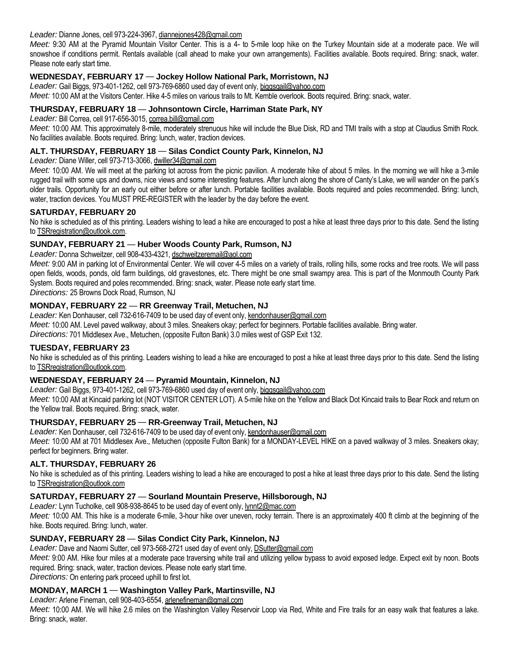#### *Leader:* Dianne Jones, cell 973-224-3967, diannejones428@gmail.com

*Meet:* 9:30 AM at the Pyramid Mountain Visitor Center. This is a 4- to 5-mile loop hike on the Turkey Mountain side at a moderate pace. We will snowshoe if conditions permit. Rentals available (call ahead to make your own arrangements). Facilities available. Boots required. Bring: snack, water. Please note early start time.

## **WEDNESDAY, FEBRUARY 17** *—* **Jockey Hollow National Park, Morristown, NJ**

Leader: Gail Biggs, 973-401-1262, cell 973-769-6860 used day of event only, biggsgail@yahoo.com *Meet:* 10:00 AM at the Visitors Center. Hike 4-5 miles on various trails to Mt. Kemble overlook. Boots required. Bring: snack, water.

## **THURSDAY, FEBRUARY 18** *—* **Johnsontown Circle, Harriman State Park, NY**

*Leader:* Bill Correa, cell 917-656-3015, correa.bill@gmail.com

*Meet:* 10:00 AM. This approximately 8-mile, moderately strenuous hike will include the Blue Disk, RD and TMI trails with a stop at Claudius Smith Rock. No facilities available. Boots required. Bring: lunch, water, traction devices.

## **ALT. THURSDAY, FEBRUARY 18** *—* **Silas Condict County Park, Kinnelon, NJ**

*Leader:* Diane Willer, cell 973-713-3066, dwiller34@gmail.com

*Meet:* 10:00 AM. We will meet at the parking lot across from the picnic pavilion. A moderate hike of about 5 miles. In the morning we will hike a 3-mile rugged trail with some ups and downs, nice views and some interesting features. After lunch along the shore of Canty's Lake, we will wander on the park's older trails. Opportunity for an early out either before or after lunch. Portable facilities available. Boots required and poles recommended. Bring: lunch, water, traction devices. You MUST PRE-REGISTER with the leader by the day before the event.

## **SATURDAY, FEBRUARY 20**

No hike is scheduled as of this printing. Leaders wishing to lead a hike are encouraged to post a hike at least three days prior to this date. Send the listing to TSRregistration@outlook.com.

## **SUNDAY, FEBRUARY 21** *—* **Huber Woods County Park, Rumson, NJ**

*Leader:* Donna Schweitzer, cell 908-433-4321, dschweitzeremail@aol.com

Meet: 9:00 AM in parking lot of Environmental Center. We will cover 4-5 miles on a variety of trails, rolling hills, some rocks and tree roots. We will pass open fields, woods, ponds, old farm buildings, old gravestones, etc. There might be one small swampy area. This is part of the Monmouth County Park System. Boots required and poles recommended. Bring: snack, water. Please note early start time.

*Directions:* 25 Browns Dock Road, Rumson, NJ

## **MONDAY, FEBRUARY 22** *—* **RR Greenway Trail, Metuchen, NJ**

*Leader:* Ken Donhauser, cell 732-616-7409 to be used day of event only, kendonhauser@gmail.com *Meet:* 10:00 AM. Level paved walkway, about 3 miles. Sneakers okay; perfect for beginners. Portable facilities available. Bring water. *Directions:* 701 Middlesex Ave., Metuchen, (opposite Fulton Bank) 3.0 miles west of GSP Exit 132.

## **TUESDAY, FEBRUARY 23**

No hike is scheduled as of this printing. Leaders wishing to lead a hike are encouraged to post a hike at least three days prior to this date. Send the listing to TSRregistration@outlook.com.

## **WEDNESDAY, FEBRUARY 24** *—* **Pyramid Mountain, Kinnelon, NJ**

*Leader:* Gail Biggs, 973-401-1262, cell 973-769-6860 used day of event only, biggsgail@yahoo.com

*Meet:* 10:00 AM at Kincaid parking lot (NOT VISITOR CENTER LOT). A 5-mile hike on the Yellow and Black Dot Kincaid trails to Bear Rock and return on the Yellow trail. Boots required. Bring: snack, water.

## **THURSDAY, FEBRUARY 25** *—* **RR-Greenway Trail, Metuchen, NJ**

*Leader:* Ken Donhauser, cell 732-616-7409 to be used day of event only, kendonhauser@gmail.com *Meet:* 10:00 AM at 701 Middlesex Ave., Metuchen (opposite Fulton Bank) for a MONDAY-LEVEL HIKE on a paved walkway of 3 miles. Sneakers okay; perfect for beginners. Bring water.

## **ALT. THURSDAY, FEBRUARY 26**

No hike is scheduled as of this printing. Leaders wishing to lead a hike are encouraged to post a hike at least three days prior to this date. Send the listing to TSRregistration@outlook.com

## **SATURDAY, FEBRUARY 27** *—* **Sourland Mountain Preserve, Hillsborough, NJ**

*Leader:* Lynn Tucholke, cell 908-938-8645 to be used day of event only, lynnt2@mac.com

*Meet:* 10:00 AM. This hike is a moderate 6-mile, 3-hour hike over uneven, rocky terrain. There is an approximately 400 ft climb at the beginning of the hike. Boots required. Bring: lunch, water.

## **SUNDAY, FEBRUARY 28** *—* **Silas Condict City Park, Kinnelon, NJ**

*Leader:* Dave and Naomi Sutter, cell 973-568-2721 used day of event only, DSutter@gmail.com

*Meet:* 9:00 AM. Hike four miles at a moderate pace traversing white trail and utilizing yellow bypass to avoid exposed ledge. Expect exit by noon. Boots required. Bring: snack, water, traction devices. Please note early start time.

*Directions:* On entering park proceed uphill to first lot.

## **MONDAY, MARCH 1** *—* **Washington Valley Park, Martinsville, NJ**

*Leader:* Arlene Fineman, cell 908-403-6554, arlenefineman@gmail.com

*Meet:* 10:00 AM. We will hike 2.6 miles on the Washington Valley Reservoir Loop via Red, White and Fire trails for an easy walk that features a lake. Bring: snack, water.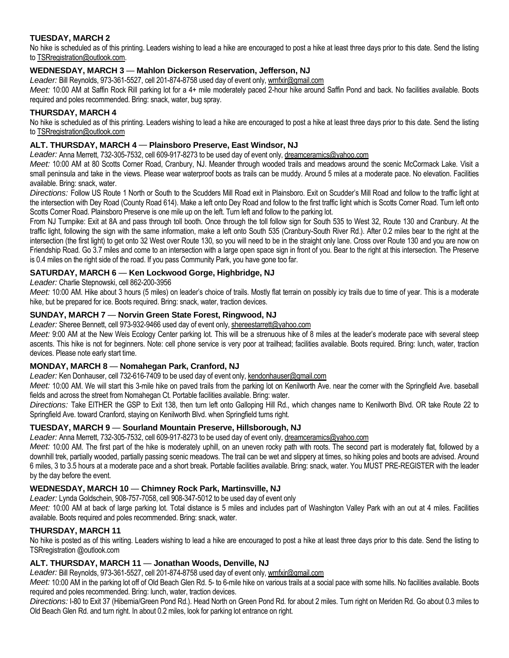# **TUESDAY, MARCH 2**

No hike is scheduled as of this printing. Leaders wishing to lead a hike are encouraged to post a hike at least three days prior to this date. Send the listing to TSRregistration@outlook.com.

## **WEDNESDAY, MARCH 3** *—* **Mahlon Dickerson Reservation, Jefferson, NJ**

*Leader:* Bill Reynolds, 973-361-5527, cell 201-874-8758 used day of event only, wmfxir@gmail.com

*Meet:* 10:00 AM at Saffin Rock Rill parking lot for a 4+ mile moderately paced 2-hour hike around Saffin Pond and back. No facilities available. Boots required and poles recommended. Bring: snack, water, bug spray.

## **THURSDAY, MARCH 4**

No hike is scheduled as of this printing. Leaders wishing to lead a hike are encouraged to post a hike at least three days prior to this date. Send the listing to TSRregistration@outlook.com

## **ALT. THURSDAY, MARCH 4** *—* **Plainsboro Preserve, East Windsor, NJ**

*Leader:* Anna Merrett, 732-305-7532, cell 609-917-8273 to be used day of event only, dreamceramics@yahoo.com

*Meet:* 10:00 AM at 80 Scotts Corner Road, Cranbury, NJ. Meander through wooded trails and meadows around the scenic McCormack Lake. Visit a small peninsula and take in the views. Please wear waterproof boots as trails can be muddy. Around 5 miles at a moderate pace. No elevation. Facilities available. Bring: snack, water.

*Directions:* Follow US Route 1 North or South to the Scudders Mill Road exit in Plainsboro. Exit on Scudder's Mill Road and follow to the traffic light at the intersection with Dey Road (County Road 614). Make a left onto Dey Road and follow to the first traffic light which is Scotts Corner Road. Turn left onto Scotts Corner Road. Plainsboro Preserve is one mile up on the left. Turn left and follow to the parking lot.

From NJ Turnpike: Exit at 8A and pass through toll booth. Once through the toll follow sign for South 535 to West 32, Route 130 and Cranbury. At the traffic light, following the sign with the same information, make a left onto South 535 (Cranbury-South River Rd.). After 0.2 miles bear to the right at the intersection (the first light) to get onto 32 West over Route 130, so you will need to be in the straight only lane. Cross over Route 130 and you are now on Friendship Road. Go 3.7 miles and come to an intersection with a large open space sign in front of you. Bear to the right at this intersection. The Preserve is 0.4 miles on the right side of the road. If you pass Community Park, you have gone too far.

## **SATURDAY, MARCH 6** *—* **Ken Lockwood Gorge, Highbridge, NJ**

#### *Leader:* Charlie Stepnowski, cell 862-200-3956

Meet: 10:00 AM. Hike about 3 hours (5 miles) on leader's choice of trails. Mostly flat terrain on possibly icy trails due to time of year. This is a moderate hike, but be prepared for ice. Boots required. Bring: snack, water, traction devices.

## **SUNDAY, MARCH 7** *—* **Norvin Green State Forest, Ringwood, NJ**

Leader: Sheree Bennett, cell 973-932-9466 used day of event only, shereestarrett@yahoo.com

*Meet:* 9:00 AM at the New Weis Ecology Center parking lot. This will be a strenuous hike of 8 miles at the leader's moderate pace with several steep ascents. This hike is not for beginners. Note: cell phone service is very poor at trailhead; facilities available. Boots required. Bring: lunch, water, traction devices. Please note early start time.

## **MONDAY, MARCH 8** *—* **Nomahegan Park, Cranford, NJ**

*Leader:* Ken Donhauser, cell 732-616-7409 to be used day of event only, kendonhauser@gmail.com

Meet: 10:00 AM. We will start this 3-mile hike on paved trails from the parking lot on Kenilworth Ave. near the corner with the Springfield Ave. baseball fields and across the street from Nomahegan Ct. Portable facilities available. Bring: water.

*Directions:* Take EITHER the GSP to Exit 138, then turn left onto Galloping Hill Rd., which changes name to Kenilworth Blvd. OR take Route 22 to Springfield Ave. toward Cranford, staying on Kenilworth Blvd. when Springfield turns right.

## **TUESDAY, MARCH 9** *—* **Sourland Mountain Preserve, Hillsborough, NJ**

Leader: Anna Merrett, 732-305-7532, cell 609-917-8273 to be used day of event only, dreamceramics@yahoo.com

*Meet:* 10:00 AM. The first part of the hike is moderately uphill, on an uneven rocky path with roots. The second part is moderately flat, followed by a downhill trek, partially wooded, partially passing scenic meadows. The trail can be wet and slippery at times, so hiking poles and boots are advised. Around 6 miles, 3 to 3.5 hours at a moderate pace and a short break. Portable facilities available. Bring: snack, water. You MUST PRE-REGISTER with the leader by the day before the event.

## **WEDNESDAY, MARCH 10** *—* **Chimney Rock Park, Martinsville, NJ**

*Leader:* Lynda Goldschein, 908-757-7058, cell 908-347-5012 to be used day of event only

*Meet:* 10:00 AM at back of large parking lot. Total distance is 5 miles and includes part of Washington Valley Park with an out at 4 miles. Facilities available. Boots required and poles recommended. Bring: snack, water.

## **THURSDAY, MARCH 11**

No hike is posted as of this writing. Leaders wishing to lead a hike are encouraged to post a hike at least three days prior to this date. Send the listing to TSRregistration @outlook.com

## **ALT. THURSDAY, MARCH 11** *—* **Jonathan Woods, Denville, NJ**

Leader: Bill Reynolds, 973-361-5527, cell 201-874-8758 used day of event only, wmfxir@gmail.com

*Meet:* 10:00 AM in the parking lot off of Old Beach Glen Rd. 5- to 6-mile hike on various trails at a social pace with some hills. No facilities available. Boots required and poles recommended. Bring: lunch, water, traction devices.

*Directions:* I-80 to Exit 37 (Hibernia/Green Pond Rd.). Head North on Green Pond Rd. for about 2 miles. Turn right on Meriden Rd. Go about 0.3 miles to Old Beach Glen Rd. and turn right. In about 0.2 miles, look for parking lot entrance on right.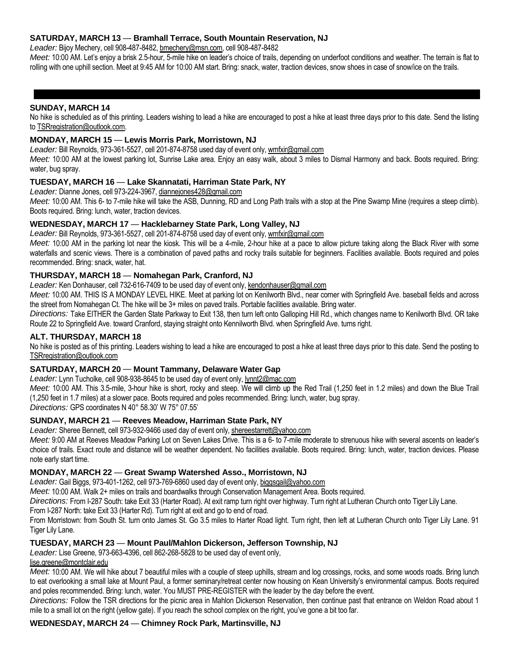## **SATURDAY, MARCH 13** *—* **Bramhall Terrace, South Mountain Reservation, NJ**

*Leader:* Bijoy Mechery, cell 908-487-8482, bmechery@msn.com, cell 908-487-8482

*Meet:* 10:00 AM. Let's enjoy a brisk 2.5-hour, 5-mile hike on leader's choice of trails, depending on underfoot conditions and weather. The terrain is flat to rolling with one uphill section. Meet at 9:45 AM for 10:00 AM start. Bring: snack, water, traction devices, snow shoes in case of snow/ice on the trails.

#### **SUNDAY, MARCH 14**

No hike is scheduled as of this printing. Leaders wishing to lead a hike are encouraged to post a hike at least three days prior to this date. Send the listing to TSRregistration@outlook.com.

#### **MONDAY, MARCH 15** *—* **Lewis Morris Park, Morristown, NJ**

*Leader:* Bill Reynolds, 973-361-5527, cell 201-874-8758 used day of event only, wmfxir@gmail.com

*Meet:* 10:00 AM at the lowest parking lot, Sunrise Lake area. Enjoy an easy walk, about 3 miles to Dismal Harmony and back. Boots required. Bring: water, bug spray.

#### **TUESDAY, MARCH 16** *—* **Lake Skannatati, Harriman State Park, NY**

*Leader:* Dianne Jones, cell 973-224-3967, diannejones428@gmail.com

*Meet:* 10:00 AM. This 6- to 7-mile hike will take the ASB, Dunning, RD and Long Path trails with a stop at the Pine Swamp Mine (requires a steep climb). Boots required. Bring: lunch, water, traction devices.

## **WEDNESDAY, MARCH 17** *—* **Hacklebarney State Park, Long Valley, NJ**

*Leader:* Bill Reynolds, 973-361-5527, cell 201-874-8758 used day of event only, wmfxir@gmail.com

*Meet:* 10:00 AM in the parking lot near the kiosk. This will be a 4-mile, 2-hour hike at a pace to allow picture taking along the Black River with some waterfalls and scenic views. There is a combination of paved paths and rocky trails suitable for beginners. Facilities available. Boots required and poles recommended. Bring: snack, water, hat.

#### **THURSDAY, MARCH 18** *—* **Nomahegan Park, Cranford, NJ**

*Leader:* Ken Donhauser, cell 732-616-7409 to be used day of event only, kendonhauser@gmail.com

*Meet:* 10:00 AM. THIS IS A MONDAY LEVEL HIKE. Meet at parking lot on Kenilworth Blvd., near corner with Springfield Ave. baseball fields and across the street from Nomahegan Ct. The hike will be 3+ miles on paved trails. Portable facilities available. Bring water.

*Directions:* Take EITHER the Garden State Parkway to Exit 138, then turn left onto Galloping Hill Rd., which changes name to Kenilworth Blvd. OR take Route 22 to Springfield Ave. toward Cranford, staying straight onto Kennilworth Blvd. when Springfield Ave. turns right.

#### **ALT. THURSDAY, MARCH 18**

No hike is posted as of this printing. Leaders wishing to lead a hike are encouraged to post a hike at least three days prior to this date. Send the posting to TSRregistration@outlook.com

## **SATURDAY, MARCH 20** *—* **Mount Tammany, Delaware Water Gap**

*Leader:* Lynn Tucholke, cell 908-938-8645 to be used day of event only, lynnt2@mac.com

*Meet:* 10:00 AM. This 3.5-mile, 3-hour hike is short, rocky and steep. We will climb up the Red Trail (1,250 feet in 1.2 miles) and down the Blue Trail (1,250 feet in 1.7 miles) at a slower pace. Boots required and poles recommended. Bring: lunch, water, bug spray.

*Directions:* GPS coordinates N 40° 58.30' W 75° 07.55'

## **SUNDAY, MARCH 21** *—* **Reeves Meadow, Harriman State Park, NY**

Leader: Sheree Bennett, cell 973-932-9466 used day of event only, shereestarrett@yahoo.com

*Meet:* 9:00 AM at Reeves Meadow Parking Lot on Seven Lakes Drive. This is a 6- to 7-mile moderate to strenuous hike with several ascents on leader's choice of trails. Exact route and distance will be weather dependent. No facilities available. Boots required. Bring: lunch, water, traction devices. Please note early start time.

## **MONDAY, MARCH 22** *—* **Great Swamp Watershed Asso., Morristown, NJ**

*Leader:* Gail Biggs, 973-401-1262, cell 973-769-6860 used day of event only, biggsgail@yahoo.com

*Meet:* 10:00 AM. Walk 2+ miles on trails and boardwalks through Conservation Management Area. Boots required.

*Directions:* From I-287 South: take Exit 33 (Harter Road). At exit ramp turn right over highway. Turn right at Lutheran Church onto Tiger Lily Lane.

From I-287 North: take Exit 33 (Harter Rd). Turn right at exit and go to end of road.

From Morristown: from South St. turn onto James St. Go 3.5 miles to Harter Road light. Turn right, then left at Lutheran Church onto Tiger Lily Lane. 91 Tiger Lily Lane.

#### **TUESDAY, MARCH 23** *—* **Mount Paul/Mahlon Dickerson, Jefferson Township, NJ**

*Leader:* Lise Greene, 973-663-4396, cell 862-268-5828 to be used day of event only,

#### lise.greene@montclair.edu

*Meet:* 10:00 AM. We will hike about 7 beautiful miles with a couple of steep uphills, stream and log crossings, rocks, and some woods roads. Bring lunch to eat overlooking a small lake at Mount Paul, a former seminary/retreat center now housing on Kean University's environmental campus. Boots required and poles recommended. Bring: lunch, water. You MUST PRE-REGISTER with the leader by the day before the event.

*Directions:* Follow the TSR directions for the picnic area in Mahlon Dickerson Reservation, then continue past that entrance on Weldon Road about 1 mile to a small lot on the right (yellow gate). If you reach the school complex on the right, you've gone a bit too far.

#### **WEDNESDAY, MARCH 24** *—* **Chimney Rock Park, Martinsville, NJ**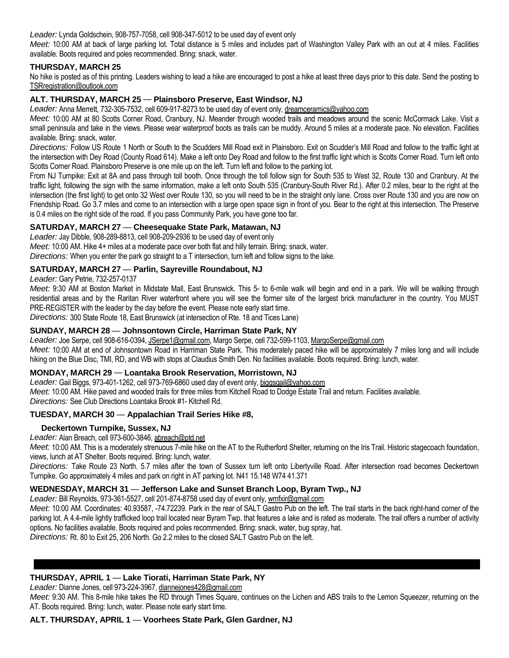*Leader:* Lynda Goldschein, 908-757-7058, cell 908-347-5012 to be used day of event only

*Meet:* 10:00 AM at back of large parking lot. Total distance is 5 miles and includes part of Washington Valley Park with an out at 4 miles. Facilities available. Boots required and poles recommended. Bring: snack, water.

#### **THURSDAY, MARCH 25**

No hike is posted as of this printing. Leaders wishing to lead a hike are encouraged to post a hike at least three days prior to this date. Send the posting to TSRregistration@outlook.com

#### **ALT. THURSDAY, MARCH 25** *—* **Plainsboro Preserve, East Windsor, NJ**

*Leader:* Anna Merrett, 732-305-7532, cell 609-917-8273 to be used day of event only, dreamceramics@yahoo.com

*Meet:* 10:00 AM at 80 Scotts Corner Road, Cranbury, NJ. Meander through wooded trails and meadows around the scenic McCormack Lake. Visit a small peninsula and take in the views. Please wear waterproof boots as trails can be muddy. Around 5 miles at a moderate pace. No elevation. Facilities available. Bring: snack, water.

*Directions:* Follow US Route 1 North or South to the Scudders Mill Road exit in Plainsboro. Exit on Scudder's Mill Road and follow to the traffic light at the intersection with Dey Road (County Road 614). Make a left onto Dey Road and follow to the first traffic light which is Scotts Corner Road. Turn left onto Scotts Corner Road. Plainsboro Preserve is one mile up on the left. Turn left and follow to the parking lot.

From NJ Turnpike: Exit at 8A and pass through toll booth. Once through the toll follow sign for South 535 to West 32, Route 130 and Cranbury. At the traffic light, following the sign with the same information, make a left onto South 535 (Cranbury-South River Rd.). After 0.2 miles, bear to the right at the intersection (the first light) to get onto 32 West over Route 130, so you will need to be in the straight only lane. Cross over Route 130 and you are now on Friendship Road. Go 3.7 miles and come to an intersection with a large open space sign in front of you. Bear to the right at this intersection. The Preserve is 0.4 miles on the right side of the road. If you pass Community Park, you have gone too far.

## **SATURDAY, MARCH 27** *—* **Cheesequake State Park, Matawan, NJ**

*Leader:* Jay Dibble, 908-289-8813, cell 908-209-2936 to be used day of event only

*Meet:* 10:00 AM. Hike 4+ miles at a moderate pace over both flat and hilly terrain. Bring: snack, water.

*Directions:* When you enter the park go straight to a T intersection, turn left and follow signs to the lake.

## **SATURDAY, MARCH 27** *—* **Parlin, Sayreville Roundabout, NJ**

*Leader:* Gary Petrie, 732-257-0137

*Meet:* 9:30 AM at Boston Market in Midstate Mall, East Brunswick. This 5- to 6-mile walk will begin and end in a park. We will be walking through residential areas and by the Raritan River waterfront where you will see the former site of the largest brick manufacturer in the country. You MUST PRE-REGISTER with the leader by the day before the event. Please note early start time.

*Directions:* 300 State Route 18, East Brunswick (at intersection of Rte. 18 and Tices Lane)

#### **SUNDAY, MARCH 28** *—* **Johnsontown Circle, Harriman State Park, NY**

*Leader:* Joe Serpe, cell 908-616-0394, JSerpe1@gmail.com, Margo Serpe, cell 732-599-1103, MargoSerpe@gmail.com *Meet:* 10:00 AM at end of Johnsontown Road in Harriman State Park. This moderately paced hike will be approximately 7 miles long and will include hiking on the Blue Disc, TMI, RD, and WB with stops at Claudius Smith Den. No facilities available. Boots required. Bring: lunch, water.

## **MONDAY, MARCH 29** *—* **Loantaka Brook Reservation, Morristown, NJ**

*Leader:* Gail Biggs, 973-401-1262, cell 973-769-6860 used day of event only, biggsgail@yahoo.com *Meet:* 10:00 AM. Hike paved and wooded trails for three miles from Kitchell Road to Dodge Estate Trail and return. Facilities available.

*Directions:* See Club Directions Loantaka Brook #1- Kitchell Rd.

## **TUESDAY, MARCH 30** *—* **Appalachian Trail Series Hike #8,**

## **Deckertown Turnpike, Sussex, NJ**

#### *Leader:* Alan Breach, cell 973-600-3846, abreach@ptd.net

Meet: 10:00 AM. This is a moderately strenuous 7-mile hike on the AT to the Rutherford Shelter, returning on the Iris Trail. Historic stagecoach foundation, views, lunch at AT Shelter. Boots required. Bring: lunch, water.

*Directions:* Take Route 23 North. 5.7 miles after the town of Sussex turn left onto Libertyville Road. After intersection road becomes Deckertown Turnpike. Go approximately 4 miles and park on right in AT parking lot. N41 15.148 W74 41.371

## **WEDNESDAY, MARCH 31** *—* **Jefferson Lake and Sunset Branch Loop, Byram Twp., NJ**

*Leader:* Bill Reynolds, 973-361-5527, cell 201-874-8758 used day of event only, wmfxir@gmail.com

*Meet:* 10:00 AM. Coordinates: 40.93587, -74.72239. Park in the rear of SALT Gastro Pub on the left. The trail starts in the back right-hand corner of the parking lot. A 4.4-mile lightly trafficked loop trail located near Byram Twp. that features a lake and is rated as moderate. The trail offers a number of activity options. No facilities available. Boots required and poles recommended. Bring: snack, water, bug spray, hat.

*Directions:* Rt. 80 to Exit 25, 206 North. Go 2.2 miles to the closed SALT Gastro Pub on the left.

# **THURSDAY, APRIL 1** *—* **Lake Tiorati, Harriman State Park, NY**

*Leader:* Dianne Jones, cell 973-224-3967, diannejones428@gmail.com

*Meet:* 9:30 AM. This 8-mile hike takes the RD through Times Square, continues on the Lichen and ABS trails to the Lemon Squeezer, returning on the AT. Boots required. Bring: lunch, water. Please note early start time.

## **ALT. THURSDAY, APRIL 1** *—* **Voorhees State Park, Glen Gardner, NJ**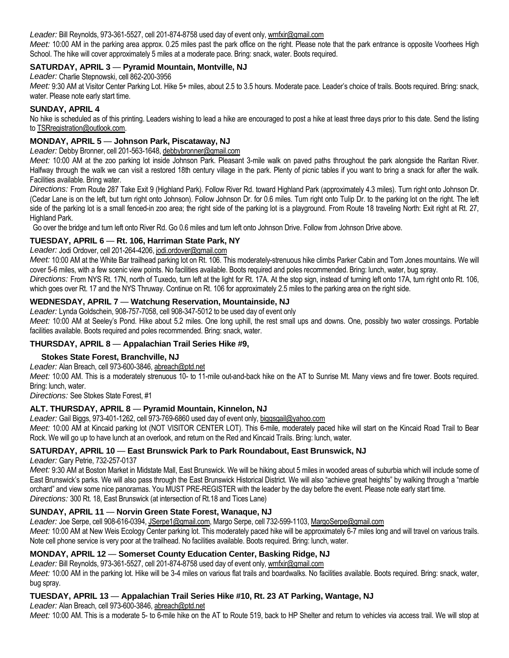*Leader:* Bill Reynolds, 973-361-5527, cell 201-874-8758 used day of event only, wmfxir@gmail.com

*Meet:* 10:00 AM in the parking area approx. 0.25 miles past the park office on the right. Please note that the park entrance is opposite Voorhees High School. The hike will cover approximately 5 miles at a moderate pace. Bring: snack, water. Boots required.

## **SATURDAY, APRIL 3** *—* **Pyramid Mountain, Montville, NJ**

*Leader:* Charlie Stepnowski, cell 862-200-3956

Meet: 9:30 AM at Visitor Center Parking Lot. Hike 5+ miles, about 2.5 to 3.5 hours. Moderate pace. Leader's choice of trails. Boots required. Bring: snack, water. Please note early start time.

#### **SUNDAY, APRIL 4**

No hike is scheduled as of this printing. Leaders wishing to lead a hike are encouraged to post a hike at least three days prior to this date. Send the listing to TSRregistration@outlook.com.

## **MONDAY, APRIL 5** *—* **Johnson Park, Piscataway, NJ**

*Leader:* Debby Bronner, cell 201-563-1648, debbybronner@gmail.com

*Meet:* 10:00 AM at the zoo parking lot inside Johnson Park. Pleasant 3-mile walk on paved paths throughout the park alongside the Raritan River. Halfway through the walk we can visit a restored 18th century village in the park. Plenty of picnic tables if you want to bring a snack for after the walk. Facilities available. Bring water.

*Directions:* From Route 287 Take Exit 9 (Highland Park). Follow River Rd. toward Highland Park (approximately 4.3 miles). Turn right onto Johnson Dr. (Cedar Lane is on the left, but turn right onto Johnson). Follow Johnson Dr. for 0.6 miles. Turn right onto Tulip Dr. to the parking lot on the right. The left side of the parking lot is a small fenced-in zoo area; the right side of the parking lot is a playground. From Route 18 traveling North: Exit right at Rt. 27, Highland Park.

Go over the bridge and turn left onto River Rd. Go 0.6 miles and turn left onto Johnson Drive. Follow from Johnson Drive above.

## **TUESDAY, APRIL 6** *—* **Rt. 106, Harriman State Park, NY**

*Leader:* Jodi Ordover, cell 201-264-4206, jodi.ordover@gmail.com

*Meet:* 10:00 AM at the White Bar trailhead parking lot on Rt. 106. This moderately-strenuous hike climbs Parker Cabin and Tom Jones mountains. We will cover 5-6 miles, with a few scenic view points. No facilities available. Boots required and poles recommended. Bring: lunch, water, bug spray.

*Directions:* From NYS Rt. 17N, north of Tuxedo, turn left at the light for Rt. 17A. At the stop sign, instead of turning left onto 17A, turn right onto Rt. 106, which goes over Rt. 17 and the NYS Thruway. Continue on Rt. 106 for approximately 2.5 miles to the parking area on the right side.

## **WEDNESDAY, APRIL 7** *—* **Watchung Reservation, Mountainside, NJ**

*Leader:* Lynda Goldschein, 908-757-7058, cell 908-347-5012 to be used day of event only *Meet:* 10:00 AM at Seeley's Pond. Hike about 5.2 miles. One long uphill, the rest small ups and downs. One, possibly two water crossings. Portable facilities available. Boots required and poles recommended. Bring: snack, water.

## **THURSDAY, APRIL 8** *—* **Appalachian Trail Series Hike #9,**

## **Stokes State Forest, Branchville, NJ**

*Leader:* Alan Breach, cell 973-600-3846, abreach@ptd.net

*Meet:* 10:00 AM. This is a moderately strenuous 10- to 11-mile out-and-back hike on the AT to Sunrise Mt. Many views and fire tower. Boots required. Bring: lunch, water.

*Directions:* See Stokes State Forest, #1

## **ALT. THURSDAY, APRIL 8** *—* **Pyramid Mountain, Kinnelon, NJ**

*Leader:* Gail Biggs, 973-401-1262, cell 973-769-6860 used day of event only, biggsgail@yahoo.com

*Meet:* 10:00 AM at Kincaid parking lot (NOT VISITOR CENTER LOT). This 6-mile, moderately paced hike will start on the Kincaid Road Trail to Bear Rock. We will go up to have lunch at an overlook, and return on the Red and Kincaid Trails. Bring: lunch, water.

## **SATURDAY, APRIL 10** *—* **East Brunswick Park to Park Roundabout, East Brunswick, NJ**

*Leader:* Gary Petrie, 732-257-0137

*Meet:* 9:30 AM at Boston Market in Midstate Mall, East Brunswick. We will be hiking about 5 miles in wooded areas of suburbia which will include some of East Brunswick's parks. We will also pass through the East Brunswick Historical District. We will also "achieve great heights" by walking through a "marble orchard" and view some nice panoramas. You MUST PRE-REGISTER with the leader by the day before the event. Please note early start time. *Directions:* 300 Rt. 18, East Brunswick (at intersection of Rt.18 and Tices Lane)

## **SUNDAY, APRIL 11** *—* **Norvin Green State Forest, Wanaque, NJ**

*Leader:* Joe Serpe, cell 908-616-0394, JSerpe1@gmail.com, Margo Serpe, cell 732-599-1103, MargoSerpe@gmail.com

*Meet:* 10:00 AM at New Weis Ecology Center parking lot. This moderately paced hike will be approximately 6-7 miles long and will travel on various trails. Note cell phone service is very poor at the trailhead. No facilities available. Boots required. Bring: lunch, water.

## **MONDAY, APRIL 12** *—* **Somerset County Education Center, Basking Ridge, NJ**

*Leader:* Bill Reynolds, 973-361-5527, cell 201-874-8758 used day of event only, wmfxir@gmail.com

*Meet:* 10:00 AM in the parking lot. Hike will be 3-4 miles on various flat trails and boardwalks. No facilities available. Boots required. Bring: snack, water, bug spray.

## **TUESDAY, APRIL 13** *—* **Appalachian Trail Series Hike #10, Rt. 23 AT Parking, Wantage, NJ**

*Leader:* Alan Breach, cell 973-600-3846, abreach@ptd.net

*Meet:* 10:00 AM. This is a moderate 5- to 6-mile hike on the AT to Route 519, back to HP Shelter and return to vehicles via access trail. We will stop at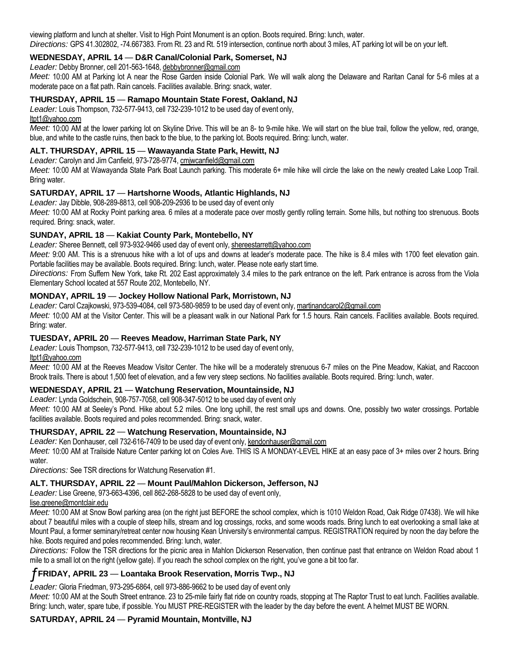viewing platform and lunch at shelter. Visit to High Point Monument is an option. Boots required. Bring: lunch, water. *Directions:* GPS 41.302802, -74.667383. From Rt. 23 and Rt. 519 intersection, continue north about 3 miles, AT parking lot will be on your left.

## **WEDNESDAY, APRIL 14** *—* **D&R Canal/Colonial Park, Somerset, NJ**

*Leader:* Debby Bronner, cell 201-563-1648, debbybronner@gmail.com

*Meet:* 10:00 AM at Parking lot A near the Rose Garden inside Colonial Park. We will walk along the Delaware and Raritan Canal for 5-6 miles at a moderate pace on a flat path. Rain cancels. Facilities available. Bring: snack, water.

#### **THURSDAY, APRIL 15** *—* **Ramapo Mountain State Forest, Oakland, NJ**

*Leader:* Louis Thompson, 732-577-9413, cell 732-239-1012 to be used day of event only,

ltpt1@yahoo.com

*Meet:* 10:00 AM at the lower parking lot on Skyline Drive. This will be an 8- to 9-mile hike. We will start on the blue trail, follow the yellow, red, orange, blue, and white to the castle ruins, then back to the blue, to the parking lot. Boots required. Bring: lunch, water.

## **ALT. THURSDAY, APRIL 15** *—* **Wawayanda State Park, Hewitt, NJ**

*Leader:* Carolyn and Jim Canfield, 973-728-9774, cmjwcanfield@gmail.com

*Meet:* 10:00 AM at Wawayanda State Park Boat Launch parking. This moderate 6+ mile hike will circle the lake on the newly created Lake Loop Trail. Bring water.

## **SATURDAY, APRIL 17** *—* **Hartshorne Woods, Atlantic Highlands, NJ**

*Leader:* Jay Dibble, 908-289-8813, cell 908-209-2936 to be used day of event only

*Meet:* 10:00 AM at Rocky Point parking area. 6 miles at a moderate pace over mostly gently rolling terrain. Some hills, but nothing too strenuous. Boots required. Bring: snack, water.

## **SUNDAY, APRIL 18** *—* **Kakiat County Park, Montebello, NY**

Leader: Sheree Bennett, cell 973-932-9466 used day of event only, shereestarrett@yahoo.com

*Meet:* 9:00 AM. This is a strenuous hike with a lot of ups and downs at leader's moderate pace. The hike is 8.4 miles with 1700 feet elevation gain. Portable facilities may be available. Boots required. Bring: lunch, water. Please note early start time.

*Directions:* From Suffern New York, take Rt. 202 East approximately 3.4 miles to the park entrance on the left. Park entrance is across from the Viola Elementary School located at 557 Route 202, Montebello, NY.

## **MONDAY, APRIL 19** *—* **Jockey Hollow National Park, Morristown, NJ**

*Leader:* Carol Czajkowski, 973-539-4084, cell 973-580-9859 to be used day of event only, martinandcarol2@gmail.com *Meet:* 10:00 AM at the Visitor Center. This will be a pleasant walk in our National Park for 1.5 hours. Rain cancels. Facilities available. Boots required. Bring: water.

## **TUESDAY, APRIL 20** *—* **Reeves Meadow, Harriman State Park, NY**

*Leader:* Louis Thompson, 732-577-9413, cell 732-239-1012 to be used day of event only,

ltpt1@yahoo.com

*Meet:* 10:00 AM at the Reeves Meadow Visitor Center. The hike will be a moderately strenuous 6-7 miles on the Pine Meadow, Kakiat, and Raccoon Brook trails. There is about 1,500 feet of elevation, and a few very steep sections. No facilities available. Boots required. Bring: lunch, water.

## **WEDNESDAY, APRIL 21** *—* **Watchung Reservation, Mountainside, NJ**

*Leader:* Lynda Goldschein, 908-757-7058, cell 908-347-5012 to be used day of event only

*Meet:* 10:00 AM at Seeley's Pond. Hike about 5.2 miles. One long uphill, the rest small ups and downs. One, possibly two water crossings. Portable facilities available. Boots required and poles recommended. Bring: snack, water.

## **THURSDAY, APRIL 22** *—* **Watchung Reservation, Mountainside, NJ**

Leader: Ken Donhauser, cell 732-616-7409 to be used day of event only, kendonhauser@gmail.com

*Meet:* 10:00 AM at Trailside Nature Center parking lot on Coles Ave. THIS IS A MONDAY-LEVEL HIKE at an easy pace of 3+ miles over 2 hours. Bring water.

*Directions:* See TSR directions for Watchung Reservation #1.

## **ALT. THURSDAY, APRIL 22** *—* **Mount Paul/Mahlon Dickerson, Jefferson, NJ**

*Leader:* Lise Greene, 973-663-4396, cell 862-268-5828 to be used day of event only,

## lise.greene@montclair.edu

*Meet:* 10:00 AM at Snow Bowl parking area (on the right just BEFORE the school complex, which is 1010 Weldon Road, Oak Ridge 07438). We will hike about 7 beautiful miles with a couple of steep hills, stream and log crossings, rocks, and some woods roads. Bring lunch to eat overlooking a small lake at Mount Paul, a former seminary/retreat center now housing Kean University's environmental campus. REGISTRATION required by noon the day before the hike. Boots required and poles recommended. Bring: lunch, water.

*Directions:* Follow the TSR directions for the picnic area in Mahlon Dickerson Reservation, then continue past that entrance on Weldon Road about 1 mile to a small lot on the right (yellow gate). If you reach the school complex on the right, you've gone a bit too far.

## ƒ**FRIDAY, APRIL 23** *—* **Loantaka Brook Reservation, Morris Twp., NJ**

*Leader:* Gloria Friedman, 973-295-6864, cell 973-886-9662 to be used day of event only

*Meet:* 10:00 AM at the South Street entrance. 23 to 25-mile fairly flat ride on country roads, stopping at The Raptor Trust to eat lunch. Facilities available. Bring: lunch, water, spare tube, if possible. You MUST PRE-REGISTER with the leader by the day before the event. A helmet MUST BE WORN.

# **SATURDAY, APRIL 24** *—* **Pyramid Mountain, Montville, NJ**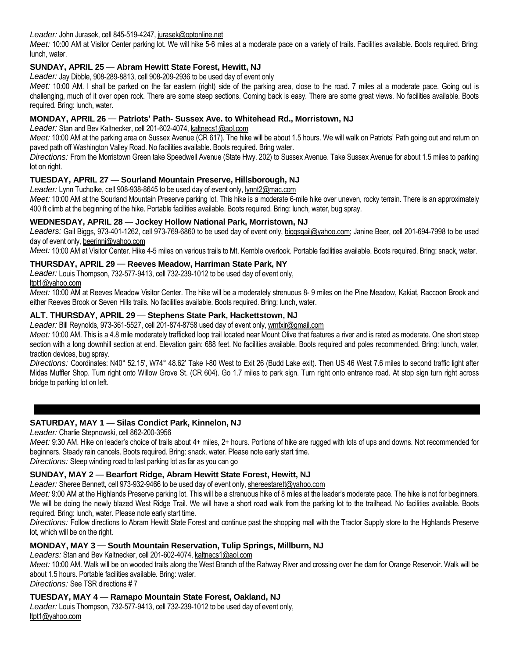*Leader:* John Jurasek, cell 845-519-4247, jurasek@optonline.net

*Meet:* 10:00 AM at Visitor Center parking lot. We will hike 5-6 miles at a moderate pace on a variety of trails. Facilities available. Boots required. Bring: lunch, water.

# **SUNDAY, APRIL 25** *—* **Abram Hewitt State Forest, Hewitt, NJ**

*Leader:* Jay Dibble, 908-289-8813, cell 908-209-2936 to be used day of event only

*Meet:* 10:00 AM. I shall be parked on the far eastern (right) side of the parking area, close to the road. 7 miles at a moderate pace. Going out is challenging, much of it over open rock. There are some steep sections. Coming back is easy. There are some great views. No facilities available. Boots required. Bring: lunch, water.

## **MONDAY, APRIL 26** *—* **Patriots' Path- Sussex Ave. to Whitehead Rd., Morristown, NJ**

*Leader:* Stan and Bev Kaltnecker, cell 201-602-4074, kaltnecs1@aol.com

*Meet:* 10:00 AM at the parking area on Sussex Avenue (CR 617). The hike will be about 1.5 hours. We will walk on Patriots' Path going out and return on paved path off Washington Valley Road. No facilities available. Boots required. Bring water.

*Directions:* From the Morristown Green take Speedwell Avenue (State Hwy. 202) to Sussex Avenue. Take Sussex Avenue for about 1.5 miles to parking lot on right.

## **TUESDAY, APRIL 27** *—* **Sourland Mountain Preserve, Hillsborough, NJ**

*Leader:* Lynn Tucholke, cell 908-938-8645 to be used day of event only, lynnt2@mac.com

*Meet:* 10:00 AM at the Sourland Mountain Preserve parking lot. This hike is a moderate 6-mile hike over uneven, rocky terrain. There is an approximately 400 ft climb at the beginning of the hike. Portable facilities available. Boots required. Bring: lunch, water, bug spray.

## **WEDNESDAY, APRIL 28** *—* **Jockey Hollow National Park, Morristown, NJ**

Leaders: Gail Biggs, 973-401-1262, cell 973-769-6860 to be used day of event only, biggsgail@yahoo.com; Janine Beer, cell 201-694-7998 to be used day of event only, beerinnj@yahoo.com

*Meet:* 10:00 AM at Visitor Center. Hike 4-5 miles on various trails to Mt. Kemble overlook. Portable facilities available. Boots required. Bring: snack, water.

## **THURSDAY, APRIL 29** *—* **Reeves Meadow, Harriman State Park, NY**

*Leader:* Louis Thompson, 732-577-9413, cell 732-239-1012 to be used day of event only,

ltpt1@yahoo.com

*Meet:* 10:00 AM at Reeves Meadow Visitor Center. The hike will be a moderately strenuous 8- 9 miles on the Pine Meadow, Kakiat, Raccoon Brook and either Reeves Brook or Seven Hills trails. No facilities available. Boots required. Bring: lunch, water.

## **ALT. THURSDAY, APRIL 29** *—* **Stephens State Park, Hackettstown, NJ**

*Leader:* Bill Reynolds, 973-361-5527, cell 201-874-8758 used day of event only, wmfxir@gmail.com

Meet: 10:00 AM. This is a 4.8 mile moderately trafficked loop trail located near Mount Olive that features a river and is rated as moderate. One short steep section with a long downhill section at end. Elevation gain: 688 feet. No facilities available. Boots required and poles recommended. Bring: lunch, water, traction devices, bug spray.

*Directions:* Coordinates: N40° 52.15', W74° 48.62' Take I-80 West to Exit 26 (Budd Lake exit). Then US 46 West 7.6 miles to second traffic light after Midas Muffler Shop. Turn right onto Willow Grove St. (CR 604). Go 1.7 miles to park sign. Turn right onto entrance road. At stop sign turn right across bridge to parking lot on left.

## **SATURDAY, MAY 1** *—* **Silas Condict Park, Kinnelon, NJ**

*Leader:* Charlie Stepnowski, cell 862-200-3956

*Meet:* 9:30 AM. Hike on leader's choice of trails about 4+ miles, 2+ hours. Portions of hike are rugged with lots of ups and downs. Not recommended for beginners. Steady rain cancels. Boots required. Bring: snack, water. Please note early start time.

*Directions:* Steep winding road to last parking lot as far as you can go

# **SUNDAY, MAY 2** *—* **Bearfort Ridge, Abram Hewitt State Forest, Hewitt, NJ**

Leader: Sheree Bennett, cell 973-932-9466 to be used day of event only, shereestarett@yahoo.com

Meet: 9:00 AM at the Highlands Preserve parking lot. This will be a strenuous hike of 8 miles at the leader's moderate pace. The hike is not for beginners. We will be doing the newly blazed West Ridge Trail. We will have a short road walk from the parking lot to the trailhead. No facilities available. Boots required. Bring: lunch, water. Please note early start time.

*Directions:* Follow directions to Abram Hewitt State Forest and continue past the shopping mall with the Tractor Supply store to the Highlands Preserve lot, which will be on the right.

# **MONDAY, MAY 3** *—* **South Mountain Reservation, Tulip Springs, Millburn, NJ**

*Leaders:* Stan and Bev Kaltnecker, cell 201-602-4074, kaltnecs1@aol.com

*Meet:* 10:00 AM. Walk will be on wooded trails along the West Branch of the Rahway River and crossing over the dam for Orange Reservoir. Walk will be about 1.5 hours. Portable facilities available. Bring: water.

*Directions:* See TSR directions # 7

## **TUESDAY, MAY 4** *—* **Ramapo Mountain State Forest, Oakland, NJ**

*Leader:* Louis Thompson, 732-577-9413, cell 732-239-1012 to be used day of event only, ltpt1@yahoo.com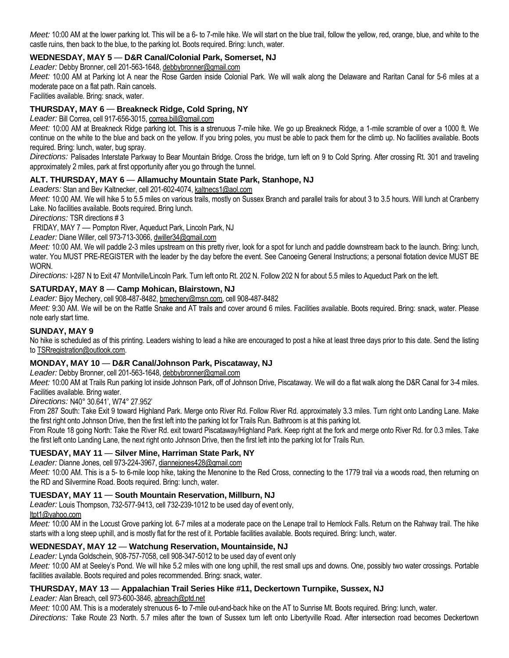*Meet:* 10:00 AM at the lower parking lot. This will be a 6- to 7-mile hike. We will start on the blue trail, follow the yellow, red, orange, blue, and white to the castle ruins, then back to the blue, to the parking lot. Boots required. Bring: lunch, water.

# **WEDNESDAY, MAY 5** *—* **D&R Canal/Colonial Park, Somerset, NJ**

*Leader:* Debby Bronner, cell 201-563-1648, debbybronner@gmail.com

*Meet:* 10:00 AM at Parking lot A near the Rose Garden inside Colonial Park. We will walk along the Delaware and Raritan Canal for 5-6 miles at a moderate pace on a flat path. Rain cancels.

Facilities available. Bring: snack, water.

## **THURSDAY, MAY 6** *—* **Breakneck Ridge, Cold Spring, NY**

*Leader:* Bill Correa, cell 917-656-3015, correa.bill@gmail.com

*Meet:* 10:00 AM at Breakneck Ridge parking lot. This is a strenuous 7-mile hike. We go up Breakneck Ridge, a 1-mile scramble of over a 1000 ft. We continue on the white to the blue and back on the yellow. If you bring poles, you must be able to pack them for the climb up. No facilities available. Boots required. Bring: lunch, water, bug spray.

*Directions:* Palisades Interstate Parkway to Bear Mountain Bridge. Cross the bridge, turn left on 9 to Cold Spring. After crossing Rt. 301 and traveling approximately 2 miles, park at first opportunity after you go through the tunnel.

## **ALT. THURSDAY, MAY 6** *—* **Allamuchy Mountain State Park, Stanhope, NJ**

#### *Leaders:* Stan and Bev Kaltnecker, cell 201-602-4074, kaltnecs1@aol.com

*Meet:* 10:00 AM. We will hike 5 to 5.5 miles on various trails, mostly on Sussex Branch and parallel trails for about 3 to 3.5 hours. Will lunch at Cranberry Lake. No facilities available. Boots required. Bring lunch.

*Directions:* TSR directions # 3

FRIDAY, MAY 7 *—* Pompton River, Aqueduct Park, Lincoln Park, NJ

*Leader:* Diane Willer, cell 973-713-3066, dwiller34@gmail.com

Meet: 10:00 AM. We will paddle 2-3 miles upstream on this pretty river, look for a spot for lunch and paddle downstream back to the launch. Bring: lunch, water. You MUST PRE-REGISTER with the leader by the day before the event. See Canoeing General Instructions; a personal flotation device MUST BE WORN.

*Directions:* I-287 N to Exit 47 Montville/Lincoln Park. Turn left onto Rt. 202 N. Follow 202 N for about 5.5 miles to Aqueduct Park on the left.

## **SATURDAY, MAY 8** *—* **Camp Mohican, Blairstown, NJ**

*Leader:* Bijoy Mechery, cell 908-487-8482, bmechery@msn.com, cell 908-487-8482

*Meet:* 9:30 AM. We will be on the Rattle Snake and AT trails and cover around 6 miles. Facilities available. Boots required. Bring: snack, water. Please note early start time.

## **SUNDAY, MAY 9**

No hike is scheduled as of this printing. Leaders wishing to lead a hike are encouraged to post a hike at least three days prior to this date. Send the listing to TSRregistration@outlook.com.

## **MONDAY, MAY 10** *—* **D&R Canal/Johnson Park, Piscataway, NJ**

*Leader:* Debby Bronner, cell 201-563-1648, debbybronner@gmail.com

*Meet:* 10:00 AM at Trails Run parking lot inside Johnson Park, off of Johnson Drive, Piscataway. We will do a flat walk along the D&R Canal for 3-4 miles. Facilities available. Bring water.

*Directions:* N40° 30.641', W74° 27.952'

From 287 South: Take Exit 9 toward Highland Park. Merge onto River Rd. Follow River Rd. approximately 3.3 miles. Turn right onto Landing Lane. Make the first right onto Johnson Drive, then the first left into the parking lot for Trails Run. Bathroom is at this parking lot.

From Route 18 going North: Take the River Rd. exit toward Piscataway/Highland Park. Keep right at the fork and merge onto River Rd. for 0.3 miles. Take the first left onto Landing Lane, the next right onto Johnson Drive, then the first left into the parking lot for Trails Run.

## **TUESDAY, MAY 11** *—* **Silver Mine, Harriman State Park, NY**

## *Leader:* Dianne Jones, cell 973-224-3967, diannejones428@gmail.com

*Meet:* 10:00 AM. This is a 5- to 6-mile loop hike, taking the Menonine to the Red Cross, connecting to the 1779 trail via a woods road, then returning on the RD and Silvermine Road. Boots required. Bring: lunch, water.

## **TUESDAY, MAY 11** *—* **South Mountain Reservation, Millburn, NJ**

*Leader:* Louis Thompson, 732-577-9413, cell 732-239-1012 to be used day of event only,

ltpt1@yahoo.com

*Meet:* 10:00 AM in the Locust Grove parking lot. 6-7 miles at a moderate pace on the Lenape trail to Hemlock Falls. Return on the Rahway trail. The hike starts with a long steep uphill, and is mostly flat for the rest of it. Portable facilities available. Boots required. Bring: lunch, water.

## **WEDNESDAY, MAY 12** *—* **Watchung Reservation, Mountainside, NJ**

*Leader:* Lynda Goldschein, 908-757-7058, cell 908-347-5012 to be used day of event only

*Meet:* 10:00 AM at Seeley's Pond. We will hike 5.2 miles with one long uphill, the rest small ups and downs. One, possibly two water crossings. Portable facilities available. Boots required and poles recommended. Bring: snack, water.

## **THURSDAY, MAY 13** *—* **Appalachian Trail Series Hike #11, Deckertown Turnpike, Sussex, NJ**

*Leader:* Alan Breach, cell 973-600-3846, abreach@ptd.net

*Meet:* 10:00 AM. This is a moderately strenuous 6- to 7-mile out-and-back hike on the AT to Sunrise Mt. Boots required. Bring: lunch, water. *Directions:* Take Route 23 North. 5.7 miles after the town of Sussex turn left onto Libertyville Road. After intersection road becomes Deckertown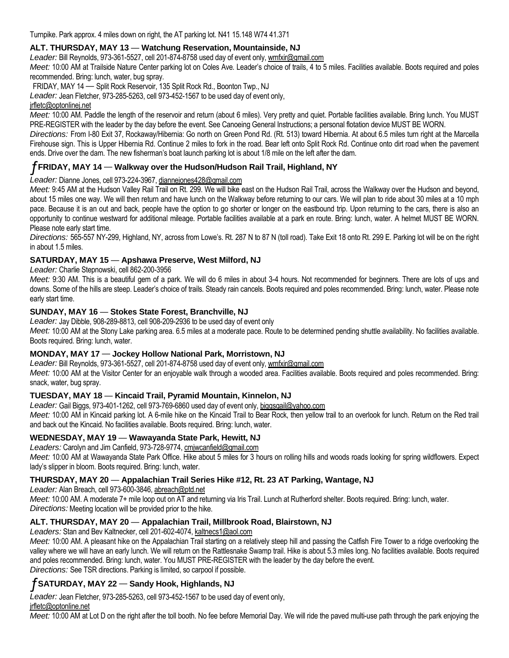Turnpike. Park approx. 4 miles down on right, the AT parking lot. N41 15.148 W74 41.371

## **ALT. THURSDAY, MAY 13** *—* **Watchung Reservation, Mountainside, NJ**

*Leader:* Bill Reynolds, 973-361-5527, cell 201-874-8758 used day of event only, wmfxir@gmail.com

*Meet:* 10:00 AM at Trailside Nature Center parking lot on Coles Ave. Leader's choice of trails, 4 to 5 miles. Facilities available. Boots required and poles recommended. Bring: lunch, water, bug spray.

FRIDAY, MAY 14 *—* Split Rock Reservoir, 135 Split Rock Rd., Boonton Twp., NJ

*Leader:* Jean Fletcher, 973-285-5263, cell 973-452-1567 to be used day of event only,

#### irfletc@optonlinei.net

*Meet:* 10:00 AM. Paddle the length of the reservoir and return (about 6 miles). Very pretty and quiet. Portable facilities available. Bring lunch. You MUST PRE-REGISTER with the leader by the day before the event. See Canoeing General Instructions; a personal flotation device MUST BE WORN.

*Directions:* From I-80 Exit 37, Rockaway/Hibernia: Go north on Green Pond Rd. (Rt. 513) toward Hibernia. At about 6.5 miles turn right at the Marcella Firehouse sign. This is Upper Hibernia Rd. Continue 2 miles to fork in the road. Bear left onto Split Rock Rd. Continue onto dirt road when the pavement ends. Drive over the dam. The new fisherman's boat launch parking lot is about 1/8 mile on the left after the dam.

## ƒ**FRIDAY, MAY 14** *—* **Walkway over the Hudson/Hudson Rail Trail, Highland, NY**

#### *Leader:* Dianne Jones, cell 973-224-3967, diannejones428@gmail.com

*Meet:* 9:45 AM at the Hudson Valley Rail Trail on Rt. 299. We will bike east on the Hudson Rail Trail, across the Walkway over the Hudson and beyond, about 15 miles one way. We will then return and have lunch on the Walkway before returning to our cars. We will plan to ride about 30 miles at a 10 mph pace. Because it is an out and back, people have the option to go shorter or longer on the eastbound trip. Upon returning to the cars, there is also an opportunity to continue westward for additional mileage. Portable facilities available at a park en route. Bring: lunch, water. A helmet MUST BE WORN. Please note early start time.

*Directions:* 565-557 NY-299, Highland, NY, across from Lowe's. Rt. 287 N to 87 N (toll road). Take Exit 18 onto Rt. 299 E. Parking lot will be on the right in about 1.5 miles.

## **SATURDAY, MAY 15** *—* **Apshawa Preserve, West Milford, NJ**

*Leader:* Charlie Stepnowski, cell 862-200-3956

Meet: 9:30 AM. This is a beautiful gem of a park. We will do 6 miles in about 3-4 hours. Not recommended for beginners. There are lots of ups and downs. Some of the hills are steep. Leader's choice of trails. Steady rain cancels. Boots required and poles recommended. Bring: lunch, water. Please note early start time.

## **SUNDAY, MAY 16** *—* **Stokes State Forest, Branchville, NJ**

*Leader:* Jay Dibble, 908-289-8813, cell 908-209-2936 to be used day of event only *Meet:* 10:00 AM at the Stony Lake parking area. 6.5 miles at a moderate pace. Route to be determined pending shuttle availability. No facilities available. Boots required. Bring: lunch, water.

## **MONDAY, MAY 17** *—* **Jockey Hollow National Park, Morristown, NJ**

*Leader:* Bill Reynolds, 973-361-5527, cell 201-874-8758 used day of event only, wmfxir@gmail.com *Meet:* 10:00 AM at the Visitor Center for an enjoyable walk through a wooded area. Facilities available. Boots required and poles recommended. Bring: snack, water, bug spray.

## **TUESDAY, MAY 18** *—* **Kincaid Trail, Pyramid Mountain, Kinnelon, NJ**

*Leader:* Gail Biggs, 973-401-1262, cell 973-769-6860 used day of event only, biggsgail@yahoo.com

*Meet:* 10:00 AM in Kincaid parking lot. A 6-mile hike on the Kincaid Trail to Bear Rock, then yellow trail to an overlook for lunch. Return on the Red trail and back out the Kincaid. No facilities available. Boots required. Bring: lunch, water.

## **WEDNESDAY, MAY 19** *—* **Wawayanda State Park, Hewitt, NJ**

#### *Leaders:* Carolyn and Jim Canfield, 973-728-9774, cmjwcanfield@gmail.com

*Meet:* 10:00 AM at Wawayanda State Park Office. Hike about 5 miles for 3 hours on rolling hills and woods roads looking for spring wildflowers. Expect lady's slipper in bloom. Boots required. Bring: lunch, water.

## **THURSDAY, MAY 20** *—* **Appalachian Trail Series Hike #12, Rt. 23 AT Parking, Wantage, NJ**

*Leader:* Alan Breach, cell 973-600-3846, abreach@ptd.net

*Meet:* 10:00 AM. A moderate 7+ mile loop out on AT and returning via Iris Trail. Lunch at Rutherford shelter. Boots required. Bring: lunch, water. *Directions:* Meeting location will be provided prior to the hike.

## **ALT. THURSDAY, MAY 20** *—* **Appalachian Trail, Millbrook Road, Blairstown, NJ**

*Leaders:* Stan and Bev Kaltnecker, cell 201-602-4074, kaltnecs1@aol.com

*Meet:* 10:00 AM. A pleasant hike on the Appalachian Trail starting on a relatively steep hill and passing the Catfish Fire Tower to a ridge overlooking the valley where we will have an early lunch. We will return on the Rattlesnake Swamp trail. Hike is about 5.3 miles long. No facilities available. Boots required and poles recommended. Bring: lunch, water. You MUST PRE-REGISTER with the leader by the day before the event. *Directions:* See TSR directions. Parking is limited, so carpool if possible.

# ƒ**SATURDAY, MAY 22** *—* **Sandy Hook, Highlands, NJ**

*Leader:* Jean Fletcher, 973-285-5263, cell 973-452-1567 to be used day of event only,

jrfletc@optonline.net

*Meet:* 10:00 AM at Lot D on the right after the toll booth. No fee before Memorial Day. We will ride the paved multi-use path through the park enjoying the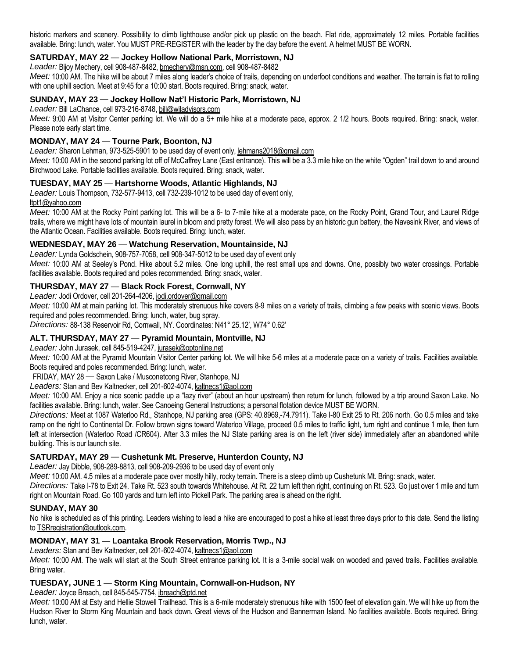historic markers and scenery. Possibility to climb lighthouse and/or pick up plastic on the beach. Flat ride, approximately 12 miles. Portable facilities available. Bring: lunch, water. You MUST PRE-REGISTER with the leader by the day before the event. A helmet MUST BE WORN.

# **SATURDAY, MAY 22** *—* **Jockey Hollow National Park, Morristown, NJ**

*Leader:* Bijoy Mechery, cell 908-487-8482, bmechery@msn.com, cell 908-487-8482

Meet: 10:00 AM. The hike will be about 7 miles along leader's choice of trails, depending on underfoot conditions and weather. The terrain is flat to rolling with one uphill section. Meet at 9:45 for a 10:00 start. Boots required. Bring: snack, water.

#### **SUNDAY, MAY 23** *—* **Jockey Hollow Nat'l Historic Park, Morristown, NJ**

*Leader:* Bill LaChance, cell 973-216-8748, bill@wjladvisors.com

*Meet:* 9:00 AM at Visitor Center parking lot. We will do a 5+ mile hike at a moderate pace, approx. 2 1/2 hours. Boots required. Bring: snack, water. Please note early start time.

## **MONDAY, MAY 24** *—* **Tourne Park, Boonton, NJ**

Leader: Sharon Lehman, 973-525-5901 to be used day of event only, lehmans2018@gmail.com

*Meet:* 10:00 AM in the second parking lot off of McCaffrey Lane (East entrance). This will be a 3.3 mile hike on the white "Ogden" trail down to and around Birchwood Lake. Portable facilities available. Boots required. Bring: snack, water.

#### **TUESDAY, MAY 25** *—* **Hartshorne Woods, Atlantic Highlands, NJ**

*Leader:* Louis Thompson, 732-577-9413, cell 732-239-1012 to be used day of event only,

ltpt1@yahoo.com

*Meet:* 10:00 AM at the Rocky Point parking lot. This will be a 6- to 7-mile hike at a moderate pace, on the Rocky Point, Grand Tour, and Laurel Ridge trails, where we might have lots of mountain laurel in bloom and pretty forest. We will also pass by an historic gun battery, the Navesink River, and views of the Atlantic Ocean. Facilities available. Boots required. Bring: lunch, water.

#### **WEDNESDAY, MAY 26** *—* **Watchung Reservation, Mountainside, NJ**

*Leader:* Lynda Goldschein, 908-757-7058, cell 908-347-5012 to be used day of event only *Meet:* 10:00 AM at Seeley's Pond. Hike about 5.2 miles. One long uphill, the rest small ups and downs. One, possibly two water crossings. Portable facilities available. Boots required and poles recommended. Bring: snack, water.

#### **THURSDAY, MAY 27** *—* **Black Rock Forest, Cornwall, NY**

*Leader:* Jodi Ordover, cell 201-264-4206, jodi.ordover@gmail.com

Meet: 10:00 AM at main parking lot. This moderately strenuous hike covers 8-9 miles on a variety of trails, climbing a few peaks with scenic views. Boots required and poles recommended. Bring: lunch, water, bug spray.

*Directions:* 88-138 Reservoir Rd, Cornwall, NY. Coordinates: N41° 25.12', W74° 0.62'

## **ALT. THURSDAY, MAY 27** *—* **Pyramid Mountain, Montville, NJ**

*Leader:* John Jurasek, cell 845-519-4247, jurasek@optonline.net

*Meet:* 10:00 AM at the Pyramid Mountain Visitor Center parking lot. We will hike 5-6 miles at a moderate pace on a variety of trails. Facilities available. Boots required and poles recommended. Bring: lunch, water.

FRIDAY, MAY 28 *—* Saxon Lake / Musconetcong River, Stanhope, NJ

*Leaders:* Stan and Bev Kaltnecker, cell 201-602-4074, kaltnecs1@aol.com

*Meet:* 10:00 AM. Enjoy a nice scenic paddle up a "lazy river" (about an hour upstream) then return for lunch, followed by a trip around Saxon Lake. No facilities available. Bring: lunch, water. See Canoeing General Instructions; a personal flotation device MUST BE WORN.

*Directions:* Meet at 1087 Waterloo Rd., Stanhope, NJ parking area (GPS: 40.8969,-74.7911). Take I-80 Exit 25 to Rt. 206 north. Go 0.5 miles and take ramp on the right to Continental Dr. Follow brown signs toward Waterloo Village, proceed 0.5 miles to traffic light, turn right and continue 1 mile, then turn left at intersection (Waterloo Road /CR604). After 3.3 miles the NJ State parking area is on the left (river side) immediately after an abandoned white building. This is our launch site.

## **SATURDAY, MAY 29** *—* **Cushetunk Mt. Preserve, Hunterdon County, NJ**

*Leader:* Jay Dibble, 908-289-8813, cell 908-209-2936 to be used day of event only

*Meet:* 10:00 AM. 4.5 miles at a moderate pace over mostly hilly, rocky terrain. There is a steep climb up Cushetunk Mt. Bring: snack, water.

*Directions:* Take I-78 to Exit 24. Take Rt. 523 south towards Whitehouse. At Rt. 22 turn left then right, continuing on Rt. 523. Go just over 1 mile and turn right on Mountain Road. Go 100 yards and turn left into Pickell Park. The parking area is ahead on the right.

#### **SUNDAY, MAY 30**

No hike is scheduled as of this printing. Leaders wishing to lead a hike are encouraged to post a hike at least three days prior to this date. Send the listing to TSRregistration@outlook.com.

## **MONDAY, MAY 31** *—* **Loantaka Brook Reservation, Morris Twp., NJ**

*Leaders:* Stan and Bev Kaltnecker, cell 201-602-4074, kaltnecs1@aol.com

Meet: 10:00 AM. The walk will start at the South Street entrance parking lot. It is a 3-mile social walk on wooded and paved trails. Facilities available. Bring water.

## **TUESDAY, JUNE 1** *—* **Storm King Mountain, Cornwall-on-Hudson, NY**

*Leader:* Joyce Breach, cell 845-545-7754, jbreach@ptd.net

Meet: 10:00 AM at Esty and Hellie Stowell Trailhead. This is a 6-mile moderately strenuous hike with 1500 feet of elevation gain. We will hike up from the Hudson River to Storm King Mountain and back down. Great views of the Hudson and Bannerman Island. No facilities available. Boots required. Bring: lunch, water.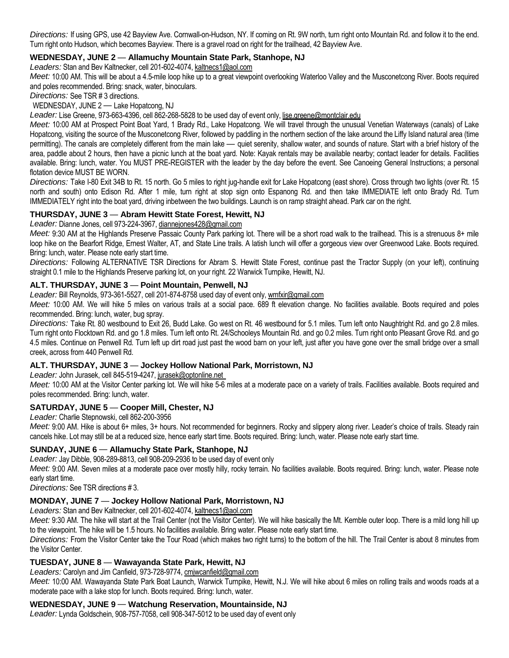*Directions:* If using GPS, use 42 Bayview Ave. Cornwall-on-Hudson, NY. If coming on Rt. 9W north, turn right onto Mountain Rd. and follow it to the end. Turn right onto Hudson, which becomes Bayview. There is a gravel road on right for the trailhead, 42 Bayview Ave.

# **WEDNESDAY, JUNE 2** *—* **Allamuchy Mountain State Park, Stanhope, NJ**

*Leaders:* Stan and Bev Kaltnecker, cell 201-602-4074, kaltnecs1@aol.com

*Meet:* 10:00 AM. This will be about a 4.5-mile loop hike up to a great viewpoint overlooking Waterloo Valley and the Musconetcong River. Boots required and poles recommended. Bring: snack, water, binoculars.

*Directions:* See TSR # 3 directions.

WEDNESDAY, JUNE 2 *—* Lake Hopatcong, NJ

*Leader:* Lise Greene, 973-663-4396, cell 862-268-5828 to be used day of event only, lise.greene@montclair.edu

*Meet:* 10:00 AM at Prospect Point Boat Yard, 1 Brady Rd., Lake Hopatcong. We will travel through the unusual Venetian Waterways (canals) of Lake Hopatcong, visiting the source of the Musconetcong River, followed by paddling in the northern section of the lake around the Liffy Island natural area (time permitting). The canals are completely different from the main lake *—* quiet serenity, shallow water, and sounds of nature. Start with a brief history of the area, paddle about 2 hours, then have a picnic lunch at the boat yard. Note: Kayak rentals may be available nearby; contact leader for details. Facilities available. Bring: lunch, water. You MUST PRE-REGISTER with the leader by the day before the event. See Canoeing General Instructions; a personal flotation device MUST BE WORN.

*Directions:* Take I-80 Exit 34B to Rt. 15 north. Go 5 miles to right jug-handle exit for Lake Hopatcong (east shore). Cross through two lights (over Rt. 15 north and south) onto Edison Rd. After 1 mile, turn right at stop sign onto Espanong Rd. and then take IMMEDIATE left onto Brady Rd. Turn IMMEDIATELY right into the boat yard, driving inbetween the two buildings. Launch is on ramp straight ahead. Park car on the right.

## **THURSDAY, JUNE 3** *—* **Abram Hewitt State Forest, Hewitt, NJ**

*Leader:* Dianne Jones, cell 973-224-3967, diannejones428@gmail.com

Meet: 9:30 AM at the Highlands Preserve Passaic County Park parking lot. There will be a short road walk to the trailhead. This is a strenuous 8+ mile loop hike on the Bearfort Ridge, Ernest Walter, AT, and State Line trails. A latish lunch will offer a gorgeous view over Greenwood Lake. Boots required. Bring: lunch, water. Please note early start time.

*Directions:* Following ALTERNATIVE TSR Directions for Abram S. Hewitt State Forest, continue past the Tractor Supply (on your left), continuing straight 0.1 mile to the Highlands Preserve parking lot, on your right. 22 Warwick Turnpike, Hewitt, NJ.

## **ALT. THURSDAY, JUNE 3** *—* **Point Mountain, Penwell, NJ**

*Leader:* Bill Reynolds, 973-361-5527, cell 201-874-8758 used day of event only, wmfxir@gmail.com

*Meet:* 10:00 AM. We will hike 5 miles on various trails at a social pace. 689 ft elevation change. No facilities available. Boots required and poles recommended. Bring: lunch, water, bug spray.

*Directions:* Take Rt. 80 westbound to Exit 26, Budd Lake. Go west on Rt. 46 westbound for 5.1 miles. Turn left onto Naughtright Rd. and go 2.8 miles. Turn right onto Flocktown Rd. and go 1.8 miles. Turn left onto Rt. 24/Schooleys Mountain Rd. and go 0.2 miles. Turn right onto Pleasant Grove Rd. and go 4.5 miles. Continue on Penwell Rd. Turn left up dirt road just past the wood barn on your left, just after you have gone over the small bridge over a small creek, across from 440 Penwell Rd.

## **ALT. THURSDAY, JUNE 3** *—* **Jockey Hollow National Park, Morristown, NJ**

*Leader:* John Jurasek, cell 845-519-4247, jurasek@optonline.net

Meet: 10:00 AM at the Visitor Center parking lot. We will hike 5-6 miles at a moderate pace on a variety of trails. Facilities available. Boots required and poles recommended. Bring: lunch, water.

## **SATURDAY, JUNE 5** *—* **Cooper Mill, Chester, NJ**

*Leader:* Charlie Stepnowski, cell 862-200-3956

*Meet:* 9:00 AM. Hike is about 6+ miles, 3+ hours. Not recommended for beginners. Rocky and slippery along river. Leader's choice of trails. Steady rain cancels hike. Lot may still be at a reduced size, hence early start time. Boots required. Bring: lunch, water. Please note early start time.

## **SUNDAY, JUNE 6** *—* **Allamuchy State Park, Stanhope, NJ**

*Leader:* Jay Dibble, 908-289-8813, cell 908-209-2936 to be used day of event only

*Meet:* 9:00 AM. Seven miles at a moderate pace over mostly hilly, rocky terrain. No facilities available. Boots required. Bring: lunch, water. Please note early start time.

*Directions:* See TSR directions # 3.

## **MONDAY, JUNE 7** *—* **Jockey Hollow National Park, Morristown, NJ**

*Leaders:* Stan and Bev Kaltnecker, cell 201-602-4074, kaltnecs1@aol.com

Meet: 9:30 AM. The hike will start at the Trail Center (not the Visitor Center). We will hike basically the Mt. Kemble outer loop. There is a mild long hill up to the viewpoint. The hike will be 1.5 hours. No facilities available. Bring water. Please note early start time.

*Directions:* From the Visitor Center take the Tour Road (which makes two right turns) to the bottom of the hill. The Trail Center is about 8 minutes from the Visitor Center.

## **TUESDAY, JUNE 8** *—* **Wawayanda State Park, Hewitt, NJ**

*Leaders:* Carolyn and Jim Canfield, 973-728-9774, cmjwcanfield@gmail.com

*Meet:* 10:00 AM. Wawayanda State Park Boat Launch, Warwick Turnpike, Hewitt, N.J. We will hike about 6 miles on rolling trails and woods roads at a moderate pace with a lake stop for lunch. Boots required. Bring: lunch, water.

## **WEDNESDAY, JUNE 9** *—* **Watchung Reservation, Mountainside, NJ**

*Leader:* Lynda Goldschein, 908-757-7058, cell 908-347-5012 to be used day of event only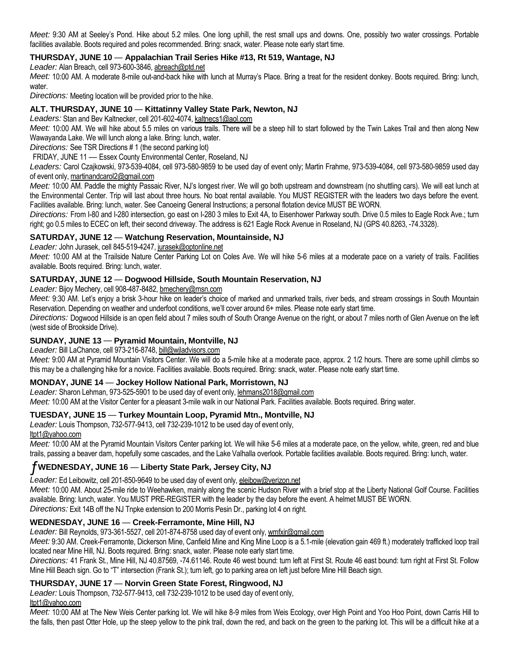*Meet:* 9:30 AM at Seeley's Pond. Hike about 5.2 miles. One long uphill, the rest small ups and downs. One, possibly two water crossings. Portable facilities available. Boots required and poles recommended. Bring: snack, water. Please note early start time.

# **THURSDAY, JUNE 10** *—* **Appalachian Trail Series Hike #13, Rt 519, Wantage, NJ**

*Leader:* Alan Breach, cell 973-600-3846, abreach@ptd.net

*Meet:* 10:00 AM. A moderate 8-mile out-and-back hike with lunch at Murray's Place. Bring a treat for the resident donkey. Boots required. Bring: lunch, water.

*Directions:* Meeting location will be provided prior to the hike.

## **ALT. THURSDAY, JUNE 10** *—* **Kittatinny Valley State Park, Newton, NJ**

*Leaders:* Stan and Bev Kaltnecker, cell 201-602-4074, kaltnecs1@aol.com

*Meet:* 10:00 AM. We will hike about 5.5 miles on various trails. There will be a steep hill to start followed by the Twin Lakes Trail and then along New Wawayanda Lake. We will lunch along a lake. Bring: lunch, water.

*Directions:* See TSR Directions # 1 (the second parking lot)

FRIDAY, JUNE 11 *—* Essex County Environmental Center, Roseland, NJ

*Leaders:* Carol Czajkowski, 973-539-4084, cell 973-580-9859 to be used day of event only; Martin Frahme, 973-539-4084, cell 973-580-9859 used day of event only, martinandcarol2@gmail.com

*Meet:* 10:00 AM. Paddle the mighty Passaic River, NJ's longest river. We will go both upstream and downstream (no shuttling cars). We will eat lunch at the Environmental Center. Trip will last about three hours. No boat rental available. You MUST REGISTER with the leaders two days before the event. Facilities available. Bring: lunch, water. See Canoeing General Instructions; a personal flotation device MUST BE WORN.

*Directions:* From I-80 and I-280 intersection, go east on I-280 3 miles to Exit 4A, to Eisenhower Parkway south. Drive 0.5 miles to Eagle Rock Ave.; turn right; go 0.5 miles to ECEC on left, their second driveway. The address is 621 Eagle Rock Avenue in Roseland, NJ (GPS 40.8263, -74.3328).

## **SATURDAY, JUNE 12** *—* **Watchung Reservation, Mountainside, NJ**

*Leader:* John Jurasek, cell 845-519-4247, jurasek@optonline.net

*Meet:* 10:00 AM at the Trailside Nature Center Parking Lot on Coles Ave. We will hike 5-6 miles at a moderate pace on a variety of trails. Facilities available. Boots required. Bring: lunch, water.

## **SATURDAY, JUNE 12** *—* **Dogwood Hillside, South Mountain Reservation, NJ**

*Leader:* Bijoy Mechery, cell 908-487-8482, bmechery@msn.com

*Meet:* 9:30 AM. Let's enjoy a brisk 3-hour hike on leader's choice of marked and unmarked trails, river beds, and stream crossings in South Mountain Reservation. Depending on weather and underfoot conditions, we'll cover around 6+ miles. Please note early start time.

*Directions:* Dogwood Hillside is an open field about 7 miles south of South Orange Avenue on the right, or about 7 miles north of Glen Avenue on the left (west side of Brookside Drive).

## **SUNDAY, JUNE 13** *—* **Pyramid Mountain, Montville, NJ**

*Leader:* Bill LaChance, cell 973-216-8748, bill@wjladvisors.com

*Meet:* 9:00 AM at Pyramid Mountain Visitors Center. We will do a 5-mile hike at a moderate pace, approx. 2 1/2 hours. There are some uphill climbs so this may be a challenging hike for a novice. Facilities available. Boots required. Bring: snack, water. Please note early start time.

## **MONDAY, JUNE 14** *—* **Jockey Hollow National Park, Morristown, NJ**

*Leader:* Sharon Lehman, 973-525-5901 to be used day of event only, lehmans2018@gmail.com

*Meet:* 10:00 AM at the Visitor Center for a pleasant 3-mile walk in our National Park. Facilities available. Boots required. Bring water.

## **TUESDAY, JUNE 15** *—* **Turkey Mountain Loop, Pyramid Mtn., Montville, NJ**

*Leader:* Louis Thompson, 732-577-9413, cell 732-239-1012 to be used day of event only,

ltpt1@yahoo.com

*Meet:* 10:00 AM at the Pyramid Mountain Visitors Center parking lot. We will hike 5-6 miles at a moderate pace, on the yellow, white, green, red and blue trails, passing a beaver dam, hopefully some cascades, and the Lake Valhalla overlook. Portable facilities available. Boots required. Bring: lunch, water.

# ƒ**WEDNESDAY, JUNE 16** *—* **Liberty State Park, Jersey City, NJ**

*Leader:* Ed Leibowitz, cell 201-850-9649 to be used day of event only, eleibow@verizon.net

*Meet:* 10:00 AM. About 25-mile ride to Weehawken, mainly along the scenic Hudson River with a brief stop at the Liberty National Golf Course. Facilities available. Bring: lunch, water. You MUST PRE-REGISTER with the leader by the day before the event. A helmet MUST BE WORN. *Directions:* Exit 14B off the NJ Tnpke extension to 200 Morris Pesin Dr., parking lot 4 on right.

## **WEDNESDAY, JUNE 16** *—* **Creek-Ferramonte, Mine Hill, NJ**

*Leader:* Bill Reynolds, 973-361-5527, cell 201-874-8758 used day of event only, wmfxir@gmail.com

*Meet:* 9:30 AM. Creek-Ferramonte, Dickerson Mine, Canfield Mine and King Mine Loop is a 5.1-mile (elevation gain 469 ft.) moderately trafficked loop trail located near Mine Hill, NJ. Boots required. Bring: snack, water. Please note early start time.

*Directions:* 41 Frank St., Mine Hill, NJ 40.87569, -74.61146. Route 46 west bound: turn left at First St. Route 46 east bound: turn right at First St. Follow Mine Hill Beach sign. Go to "T" intersection (Frank St.); turn left, go to parking area on left just before Mine Hill Beach sign.

## **THURSDAY, JUNE 17** *—* **Norvin Green State Forest, Ringwood, NJ**

*Leader:* Louis Thompson, 732-577-9413, cell 732-239-1012 to be used day of event only,

ltpt1@yahoo.com

*Meet:* 10:00 AM at The New Weis Center parking lot. We will hike 8-9 miles from Weis Ecology, over High Point and Yoo Hoo Point, down Carris Hill to the falls, then past Otter Hole, up the steep yellow to the pink trail, down the red, and back on the green to the parking lot. This will be a difficult hike at a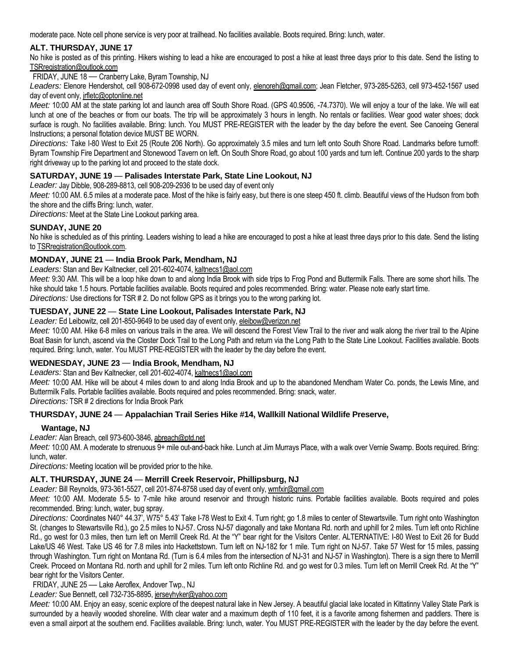moderate pace. Note cell phone service is very poor at trailhead. No facilities available. Boots required. Bring: lunch, water.

# **ALT. THURSDAY, JUNE 17**

No hike is posted as of this printing. Hikers wishing to lead a hike are encouraged to post a hike at least three days prior to this date. Send the listing to TSRregistration@outlook.com

FRIDAY, JUNE 18 *—* Cranberry Lake, Byram Township, NJ

Leaders: Elenore Hendershot, cell 908-672-0998 used day of event only, elenoreh@gmail.com; Jean Fletcher, 973-285-5263, cell 973-452-1567 used day of event only, *irfletc@optonline.net* 

Meet: 10:00 AM at the state parking lot and launch area off South Shore Road. (GPS 40.9506, -74.7370). We will enjoy a tour of the lake. We will eat lunch at one of the beaches or from our boats. The trip will be approximately 3 hours in length. No rentals or facilities. Wear good water shoes; dock surface is rough. No facilities available. Bring: lunch. You MUST PRE-REGISTER with the leader by the day before the event. See Canoeing General Instructions; a personal flotation device MUST BE WORN.

*Directions:* Take I-80 West to Exit 25 (Route 206 North). Go approximately 3.5 miles and turn left onto South Shore Road. Landmarks before turnoff: Byram Township Fire Department and Stonewood Tavern on left. On South Shore Road, go about 100 yards and turn left. Continue 200 yards to the sharp right driveway up to the parking lot and proceed to the state dock.

## **SATURDAY, JUNE 19** *—* **Palisades Interstate Park, State Line Lookout, NJ**

*Leader:* Jay Dibble, 908-289-8813, cell 908-209-2936 to be used day of event only

*Meet:* 10:00 AM. 6.5 miles at a moderate pace. Most of the hike is fairly easy, but there is one steep 450 ft. climb. Beautiful views of the Hudson from both the shore and the cliffs Bring: lunch, water.

*Directions:* Meet at the State Line Lookout parking area.

## **SUNDAY, JUNE 20**

No hike is scheduled as of this printing. Leaders wishing to lead a hike are encouraged to post a hike at least three days prior to this date. Send the listing to TSRregistration@outlook.com.

## **MONDAY, JUNE 21** *—* **India Brook Park, Mendham, NJ**

*Leaders:* Stan and Bev Kaltnecker, cell 201-602-4074, kaltnecs1@aol.com

Meet: 9:30 AM. This will be a loop hike down to and along India Brook with side trips to Frog Pond and Buttermilk Falls. There are some short hills. The hike should take 1.5 hours. Portable facilities available. Boots required and poles recommended. Bring: water. Please note early start time. *Directions:* Use directions for TSR # 2. Do not follow GPS as it brings you to the wrong parking lot.

## **TUESDAY, JUNE 22** *—* **State Line Lookout, Palisades Interstate Park, NJ**

Leader: Ed Leibowitz, cell 201-850-9649 to be used day of event only, eleibow@verizon.net

*Meet:* 10:00 AM. Hike 6-8 miles on various trails in the area. We will descend the Forest View Trail to the river and walk along the river trail to the Alpine Boat Basin for lunch, ascend via the Closter Dock Trail to the Long Path and return via the Long Path to the State Line Lookout. Facilities available. Boots required. Bring: lunch, water. You MUST PRE-REGISTER with the leader by the day before the event.

## **WEDNESDAY, JUNE 23** *—* **India Brook, Mendham, NJ**

*Leaders:* Stan and Bev Kaltnecker, cell 201-602-4074, kaltnecs1@aol.com

*Meet:* 10:00 AM. Hike will be about 4 miles down to and along India Brook and up to the abandoned Mendham Water Co. ponds, the Lewis Mine, and Buttermilk Falls. Portable facilities available. Boots required and poles recommended. Bring: snack, water.

*Directions:* TSR # 2 directions for India Brook Park

## **THURSDAY, JUNE 24** *—* **Appalachian Trail Series Hike #14, Wallkill National Wildlife Preserve,**

## **Wantage, NJ**

*Leader:* Alan Breach, cell 973-600-3846, abreach@ptd.net

*Meet:* 10:00 AM. A moderate to strenuous 9+ mile out-and-back hike. Lunch at Jim Murrays Place, with a walk over Vernie Swamp. Boots required. Bring: lunch, water.

*Directions:* Meeting location will be provided prior to the hike.

# **ALT. THURSDAY, JUNE 24** *—* **Merrill Creek Reservoir, Phillipsburg, NJ**

*Leader:* Bill Reynolds, 973-361-5527, cell 201-874-8758 used day of event only, wmfxir@gmail.com

*Meet:* 10:00 AM. Moderate 5.5- to 7-mile hike around reservoir and through historic ruins. Portable facilities available. Boots required and poles recommended. Bring: lunch, water, bug spray.

*Directions:* Coordinates N40° 44.37', W75° 5.43' Take I-78 West to Exit 4. Turn right; go 1.8 miles to center of Stewartsville. Turn right onto Washington St. (changes to Stewartsville Rd.), go 2.5 miles to NJ-57. Cross NJ-57 diagonally and take Montana Rd. north and uphill for 2 miles. Turn left onto Richline Rd., go west for 0.3 miles, then turn left on Merrill Creek Rd. At the "Y" bear right for the Visitors Center. ALTERNATIVE: I-80 West to Exit 26 for Budd Lake/US 46 West. Take US 46 for 7.8 miles into Hackettstown. Turn left on NJ-182 for 1 mile. Turn right on NJ-57. Take 57 West for 15 miles, passing through Washington. Turn right on Montana Rd. (Turn is 6.4 miles from the intersection of NJ-31 and NJ-57 in Washington). There is a sign there to Merrill Creek. Proceed on Montana Rd. north and uphill for 2 miles. Turn left onto Richline Rd. and go west for 0.3 miles. Turn left on Merrill Creek Rd. At the "Y" bear right for the Visitors Center.

FRIDAY, JUNE 25 *—* Lake Aeroflex, Andover Twp., NJ

*Leader:* Sue Bennett, cell 732-735-8895, jerseyhyker@yahoo.com

*Meet:* 10:00 AM. Enjoy an easy, scenic explore of the deepest natural lake in New Jersey. A beautiful glacial lake located in Kittatinny Valley State Park is surrounded by a heavily wooded shoreline. With clear water and a maximum depth of 110 feet, it is a favorite among fishermen and paddlers. There is even a small airport at the southern end. Facilities available. Bring: lunch, water. You MUST PRE-REGISTER with the leader by the day before the event.